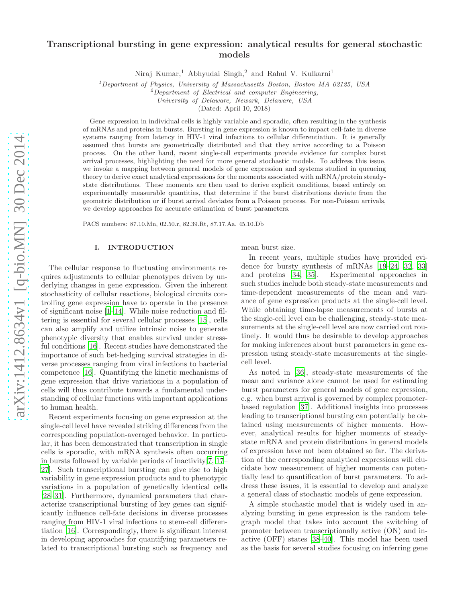# Transcriptional bursting in gene expression: analytical results for general stochastic models

Niraj Kumar,<sup>1</sup> Abhyudai Singh,<sup>2</sup> and Rahul V. Kulkarni<sup>1</sup>

 $1$ Department of Physics, University of Massachusetts Boston, Boston MA 02125, USA

 ${}^{2}$ Department of Electrical and computer Engineering,

University of Delaware, Newark, Delaware, USA

(Dated: April 10, 2018)

Gene expression in individual cells is highly variable and sporadic, often resulting in the synthesis of mRNAs and proteins in bursts. Bursting in gene expression is known to impact cell-fate in diverse systems ranging from latency in HIV-1 viral infections to cellular differentiation. It is generally assumed that bursts are geometrically distributed and that they arrive according to a Poisson process. On the other hand, recent single-cell experiments provide evidence for complex burst arrival processes, highlighting the need for more general stochastic models. To address this issue, we invoke a mapping between general models of gene expression and systems studied in queueing theory to derive exact analytical expressions for the moments associated with mRNA/protein steadystate distributions. These moments are then used to derive explicit conditions, based entirely on experimentally measurable quantities, that determine if the burst distributions deviate from the geometric distribution or if burst arrival deviates from a Poisson process. For non-Poisson arrivals, we develop approaches for accurate estimation of burst parameters.

PACS numbers: 87.10.Mn, 02.50.r, 82.39.Rt, 87.17.Aa, 45.10.Db

## I. INTRODUCTION

The cellular response to fluctuating environments requires adjustments to cellular phenotypes driven by underlying changes in gene expression. Given the inherent stochasticity of cellular reactions, biological circuits controlling gene expression have to operate in the presence of significant noise [\[1](#page-14-0)[–14](#page-14-1)]. While noise reduction and filtering is essential for several cellular processes [\[15\]](#page-14-2), cells can also amplify and utilize intrinsic noise to generate phenotypic diversity that enables survival under stressful conditions [\[16](#page-14-3)]. Recent studies have demonstrated the importance of such bet-hedging survival strategies in diverse processes ranging from viral infections to bacterial competence [\[16\]](#page-14-3). Quantifying the kinetic mechanisms of gene expression that drive variations in a population of cells will thus contribute towards a fundamental understanding of cellular functions with important applications to human health.

Recent experiments focusing on gene expression at the single-cell level have revealed striking differences from the corresponding population-averaged behavior. In particular, it has been demonstrated that transcription in single cells is sporadic, with mRNA synthesis often occurring in bursts followed by variable periods of inactivity[\[7,](#page-14-4) [17](#page-15-0)– [27\]](#page-15-1). Such transcriptional bursting can give rise to high variability in gene expression products and to phenotypic variations in a population of genetically identical cells [\[28](#page-15-2)[–31\]](#page-15-3). Furthermore, dynamical parameters that characterize transcriptional bursting of key genes can significantly influence cell-fate decisions in diverse processes ranging from HIV-1 viral infections to stem-cell differentiation [\[16\]](#page-14-3). Correspondingly, there is significant interest in developing approaches for quantifying parameters related to transcriptional bursting such as frequency and mean burst size.

In recent years, multiple studies have provided evidence for bursty synthesis of mRNAs [\[19](#page-15-4)[–24,](#page-15-5) [32](#page-15-6), [33](#page-15-7)] and proteins [\[34](#page-15-8), [35\]](#page-15-9). Experimental approaches in such studies include both steady-state measurements and time-dependent measurements of the mean and variance of gene expression products at the single-cell level. While obtaining time-lapse measurements of bursts at the single-cell level can be challenging, steady-state measurements at the single-cell level are now carried out routinely. It would thus be desirable to develop approaches for making inferences about burst parameters in gene expression using steady-state measurements at the singlecell level.

As noted in [\[36\]](#page-15-10), steady-state measurements of the mean and variance alone cannot be used for estimating burst parameters for general models of gene expression, e.g. when burst arrival is governed by complex promoterbased regulation [\[37\]](#page-15-11). Additional insights into processes leading to transcriptional bursting can potentially be obtained using measurements of higher moments. However, analytical results for higher moments of steadystate mRNA and protein distributions in general models of expression have not been obtained so far. The derivation of the corresponding analytical expressions will elucidate how measurement of higher moments can potentially lead to quantification of burst parameters. To address these issues, it is essential to develop and analyze a general class of stochastic models of gene expression.

A simple stochastic model that is widely used in analyzing bursting in gene expression is the random telegraph model that takes into account the switching of promoter between transcriptionally active (ON) and inactive (OFF) states [\[38](#page-15-12)[–40](#page-15-13)]. This model has been used as the basis for several studies focusing on inferring gene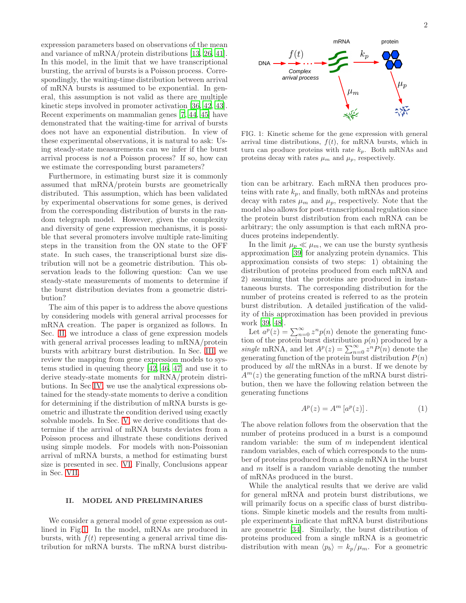expression parameters based on observations of the mean and variance of mRNA/protein distributions [\[13](#page-14-5), [26,](#page-15-14) [41\]](#page-15-15). In this model, in the limit that we have transcriptional bursting, the arrival of bursts is a Poisson process. Correspondingly, the waiting-time distribution between arrival of mRNA bursts is assumed to be exponential. In general, this assumption is not valid as there are multiple kinetic steps involved in promoter activation [\[36](#page-15-10), [42,](#page-15-16) [43\]](#page-15-17). Recent experiments on mammalian genes [\[7,](#page-14-4) [44](#page-15-18), [45\]](#page-15-19) have demonstrated that the waiting-time for arrival of bursts does not have an exponential distribution. In view of these experimental observations, it is natural to ask: Using steady-state measurements can we infer if the burst arrival process is not a Poisson process? If so, how can we estimate the corresponding burst parameters?

Furthermore, in estimating burst size it is commonly assumed that mRNA/protein bursts are geometrically distributed. This assumption, which has been validated by experimental observations for some genes, is derived from the corresponding distribution of bursts in the random telegraph model. However, given the complexity and diversity of gene expression mechanisms, it is possible that several promoters involve multiple rate-limiting steps in the transition from the ON state to the OFF state. In such cases, the transcriptional burst size distribution will not be a geometric distribution. This observation leads to the following question: Can we use steady-state measurements of moments to determine if the burst distribution deviates from a geometric distribution?

The aim of this paper is to address the above questions by considering models with general arrival processes for mRNA creation. The paper is organized as follows. In Sec. [II,](#page-1-0) we introduce a class of gene expression models with general arrival processes leading to mRNA/protein bursts with arbitrary burst distribution. In Sec. [III,](#page-2-0) we review the mapping from gene expression models to systems studied in queuing theory [\[42,](#page-15-16) [46,](#page-15-20) [47\]](#page-15-21) and use it to derive steady-state moments for mRNA/protein distributions. In Sec [IV,](#page-4-0) we use the analytical expressions obtained for the steady-state moments to derive a condition for determining if the distribution of mRNA bursts is geometric and illustrate the condition derived using exactly solvable models. In Sec. [V,](#page-5-0) we derive conditions that determine if the arrival of mRNA bursts deviates from a Poisson process and illustrate these conditions derived using simple models. For models with non-Poissonian arrival of mRNA bursts, a method for estimating burst size is presented in sec. [VI.](#page-7-0) Finally, Conclusions appear in Sec. [VII.](#page-9-0)

### <span id="page-1-0"></span>II. MODEL AND PRELIMINARIES

We consider a general model of gene expression as outlined in Fig[.1.](#page-1-1) In the model, mRNAs are produced in bursts, with  $f(t)$  representing a general arrival time distribution for mRNA bursts. The mRNA burst distribu-



<span id="page-1-1"></span>FIG. 1: Kinetic scheme for the gene expression with general arrival time distributions,  $f(t)$ , for mRNA bursts, which in turn can produce proteins with rate  $k_p$ . Both mRNAs and proteins decay with rates  $\mu_m$  and  $\mu_p$ , respectively.

tion can be arbitrary. Each mRNA then produces proteins with rate  $k_p$ , and finally, both mRNAs and proteins decay with rates  $\mu_m$  and  $\mu_p$ , respectively. Note that the model also allows for post-transcriptional regulation since the protein burst distribution from each mRNA can be arbitrary; the only assumption is that each mRNA produces proteins independently.

In the limit  $\mu_p \ll \mu_m$ , we can use the bursty synthesis approximation [\[39\]](#page-15-22) for analyzing protein dynamics. This approximation consists of two steps: 1) obtaining the distribution of proteins produced from each mRNA and 2) assuming that the proteins are produced in instantaneous bursts. The corresponding distribution for the number of proteins created is referred to as the protein burst distribution. A detailed justification of the validity of this approximation has been provided in previous work [\[39](#page-15-22), [48](#page-15-23)].

Let  $a^p(z) = \sum_{n=0}^{\infty} z^n p(n)$  denote the generating function of the protein burst distribution  $p(n)$  produced by a single mRNA, and let  $A^p(z) = \sum_{n=0}^{\infty} z^n P(n)$  denote the generating function of the protein burst distribution  $P(n)$ produced by all the mRNAs in a burst. If we denote by  $A^m(z)$  the generating function of the mRNA burst distribution, then we have the following relation between the generating functions

<span id="page-1-2"></span>
$$
A^p(z) = A^m \left[ a^p(z) \right]. \tag{1}
$$

The above relation follows from the observation that the number of proteins produced in a burst is a compound random variable: the sum of  $m$  independent identical random variables, each of which corresponds to the number of proteins produced from a single mRNA in the burst and m itself is a random variable denoting the number of mRNAs produced in the burst.

While the analytical results that we derive are valid for general mRNA and protein burst distributions, we will primarily focus on a specific class of burst distributions. Simple kinetic models and the results from multiple experiments indicate that mRNA burst distributions are geometric [\[34](#page-15-8)]. Similarly, the burst distribution of proteins produced from a single mRNA is a geometric distribution with mean  $\langle p_b \rangle = k_p/\mu_m$ . For a geometric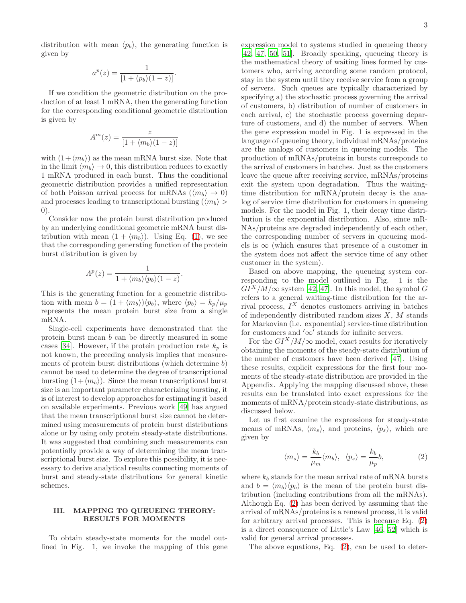$$
a^p(z) = \frac{1}{[1 + \langle p_b \rangle (1 - z)]}.
$$

If we condition the geometric distribution on the production of at least 1 mRNA, then the generating function for the corresponding conditional geometric distribution is given by

$$
A^m(z) = \frac{z}{[1 + \langle m_b \rangle (1 - z)]}
$$

with  $(1+\langle m_b \rangle)$  as the mean mRNA burst size. Note that in the limit  $\langle m_b \rangle \to 0$ , this distribution reduces to exactly 1 mRNA produced in each burst. Thus the conditional geometric distribution provides a unified representation of both Poisson arrival process for mRNAs  $(\langle m_b \rangle \to 0)$ and processes leading to transcriptional bursting  $(\langle m_b \rangle >$ 0).

Consider now the protein burst distribution produced by an underlying conditional geometric mRNA burst distribution with mean  $(1 + \langle m_b \rangle)$ . Using Eq. [\(1\)](#page-1-2), we see that the corresponding generating function of the protein burst distribution is given by

$$
A^{p}(z) = \frac{1}{1 + \langle m_b \rangle \langle p_b \rangle (1 - z)}.
$$

This is the generating function for a geometric distribution with mean  $b = (1 + \langle m_b \rangle)\langle p_b \rangle$ , where  $\langle p_b \rangle = k_p/\mu_p$ represents the mean protein burst size from a single mRNA.

Single-cell experiments have demonstrated that the protein burst mean b can be directly measured in some cases [\[34](#page-15-8)]. However, if the protein production rate  $k_p$  is not known, the preceding analysis implies that measurements of protein burst distributions (which determine b) cannot be used to determine the degree of transcriptional bursting  $(1+\langle m_b \rangle)$ . Since the mean transcriptional burst size is an important parameter characterizing bursting, it is of interest to develop approaches for estimating it based on available experiments. Previous work [\[49\]](#page-15-24) has argued that the mean transcriptional burst size cannot be determined using measurements of protein burst distributions alone or by using only protein steady-state distributions. It was suggested that combining such measurements can potentially provide a way of determining the mean transcriptional burst size. To explore this possibility, it is necessary to derive analytical results connecting moments of burst and steady-state distributions for general kinetic schemes.

## <span id="page-2-0"></span>III. MAPPING TO QUEUEING THEORY: RESULTS FOR MOMENTS

To obtain steady-state moments for the model outlined in Fig. 1, we invoke the mapping of this gene expression model to systems studied in queueing theory [\[42,](#page-15-16) [47](#page-15-21), [50](#page-16-0), [51\]](#page-16-1). Broadly speaking, queueing theory is the mathematical theory of waiting lines formed by customers who, arriving according some random protocol, stay in the system until they receive service from a group of servers. Such queues are typically characterized by specifying a) the stochastic process governing the arrival of customers, b) distribution of number of customers in each arrival, c) the stochastic process governing departure of customers, and d) the number of servers. When the gene expression model in Fig. 1 is expressed in the language of queueing theory, individual mRNAs/proteins are the analogs of customers in queueing models. The production of mRNAs/proteins in bursts corresponds to the arrival of customers in batches. Just as the customers leave the queue after receiving service, mRNAs/proteins exit the system upon degradation. Thus the waitingtime distribution for mRNA/protein decay is the analog of service time distribution for customers in queueing models. For the model in Fig. 1, their decay time distribution is the exponential distribution. Also, since mR-NAs/proteins are degraded independently of each other, the corresponding number of servers in queueing models is  $\infty$  (which ensures that presence of a customer in the system does not affect the service time of any other customer in the system).

Based on above mapping, the queueing system corresponding to the model outlined in Fig. 1 is the  $GI<sup>X</sup>/M/\infty$  system [\[42](#page-15-16), [47](#page-15-21)]. In this model, the symbol G refers to a general waiting-time distribution for the arrival process,  $I^X$  denotes customers arriving in batches of independently distributed random sizes  $X$ ,  $M$  stands for Markovian (i.e. exponential) service-time distribution for customers and  $'\infty'$  stands for infinite servers.

For the  $GI^X/M/\infty$  model, exact results for iteratively obtaining the moments of the steady-state distribution of the number of customers have been derived [\[47\]](#page-15-21). Using these results, explicit expressions for the first four moments of the steady-state distribution are provided in the Appendix. Applying the mapping discussed above, these results can be translated into exact expressions for the moments of mRNA/protein steady-state distributions, as discussed below.

Let us first examine the expressions for steady-state means of mRNAs,  $\langle m_s \rangle$ , and proteins,  $\langle p_s \rangle$ , which are given by

<span id="page-2-1"></span>
$$
\langle m_s \rangle = \frac{k_b}{\mu_m} \langle m_b \rangle, \quad \langle p_s \rangle = \frac{k_b}{\mu_p} b,\tag{2}
$$

where  $k_b$  stands for the mean arrival rate of mRNA bursts and  $b = \langle m_b \rangle \langle p_b \rangle$  is the mean of the protein burst distribution (including contributions from all the mRNAs). Although Eq. [\(2\)](#page-2-1) has been derived by assuming that the arrival of mRNAs/proteins is a renewal process, it is valid for arbitrary arrival processes. This is because Eq. [\(2\)](#page-2-1) is a direct consequence of Little's Law [\[46](#page-15-20), [52\]](#page-16-2) which is valid for general arrival processes.

The above equations, Eq. [\(2\)](#page-2-1), can be used to deter-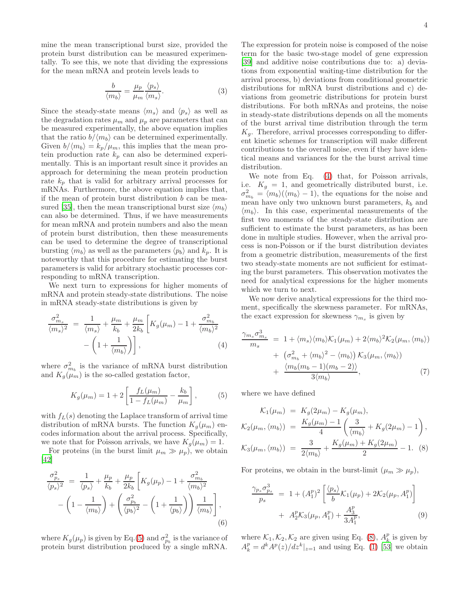mine the mean transcriptional burst size, provided the protein burst distribution can be measured experimentally. To see this, we note that dividing the expressions for the mean mRNA and protein levels leads to

$$
\frac{b}{\langle m_b \rangle} = \frac{\mu_p}{\mu_m} \frac{\langle p_s \rangle}{\langle m_s \rangle}.
$$
 (3)

Since the steady-state means  $\langle m_s \rangle$  and  $\langle p_s \rangle$  as well as the degradation rates  $\mu_m$  and  $\mu_p$  are parameters that can be measured experimentally, the above equation implies that the ratio  $b/\langle m_b \rangle$  can be determined experimentally. Given  $b/\langle m_b \rangle = k_p/\mu_m$ , this implies that the mean protein production rate  $k_p$  can also be determined experimentally. This is an important result since it provides an approach for determining the mean protein production rate  $k_p$  that is valid for arbitrary arrival processes for mRNAs. Furthermore, the above equation implies that, if the mean of protein burst distribution b can be mea-sured [\[35](#page-15-9)], then the mean transcriptional burst size  $\langle m_h \rangle$ can also be determined. Thus, if we have measurements for mean mRNA and protein numbers and also the mean of protein burst distribution, then these measurements can be used to determine the degree of transcriptional bursting  $\langle m_b \rangle$  as well as the parameters  $\langle p_b \rangle$  and  $k_p$ . It is noteworthy that this procedure for estimating the burst parameters is valid for arbitrary stochastic processes corresponding to mRNA transcription.

We next turn to expressions for higher moments of mRNA and protein steady-state distributions. The noise in mRNA steady-state distributions is given by

<span id="page-3-1"></span>
$$
\frac{\sigma_{m_s}^2}{\langle m_s \rangle^2} = \frac{1}{\langle m_s \rangle} + \frac{\mu_m}{k_b} + \frac{\mu_m}{2k_b} \left[ K_g(\mu_m) - 1 + \frac{\sigma_{m_b}^2}{\langle m_b \rangle^2} - \left( 1 + \frac{1}{\langle m_b \rangle} \right) \right],
$$
\n(4)

where  $\sigma_{m_b}^2$  is the variance of mRNA burst distribution and  $K_q(\mu_m)$  is the so-called gestation factor,

<span id="page-3-0"></span>
$$
K_g(\mu_m) = 1 + 2 \left[ \frac{f_L(\mu_m)}{1 - f_L(\mu_m)} - \frac{k_b}{\mu_m} \right],
$$
 (5)

with  $f_L(s)$  denoting the Laplace transform of arrival time distribution of mRNA bursts. The function  $K_q(\mu_m)$  encodes information about the arrival process. Specifically, we note that for Poisson arrivals, we have  $K_g(\mu_m) = 1$ .

For proteins (in the burst limit  $\mu_m \gg \mu_p$ ), we obtain [\[42\]](#page-15-16)

<span id="page-3-5"></span>
$$
\frac{\sigma_{p_s}^2}{\langle p_s \rangle^2} = \frac{1}{\langle p_s \rangle} + \frac{\mu_p}{k_b} + \frac{\mu_p}{2k_b} \left[ K_g(\mu_p) - 1 + \frac{\sigma_{m_b}^2}{\langle m_b \rangle^2} - \left( 1 - \frac{1}{\langle m_b \rangle} \right) + \left( \frac{\sigma_{p_b}^2}{\langle p_b \rangle^2} - \left( 1 + \frac{1}{\langle p_b \rangle} \right) \right) \frac{1}{\langle m_b \rangle} \right],
$$
\n(6)

where  $K_g(\mu_p)$  is given by Eq.[\(5\)](#page-3-0) and  $\sigma_{p_b}^2$  is the variance of protein burst distribution produced by a single mRNA.

The expression for protein noise is composed of the noise term for the basic two-stage model of gene expression [\[39\]](#page-15-22) and additive noise contributions due to: a) deviations from exponential waiting-time distribution for the arrival process, b) deviations from conditional geometric distributions for mRNA burst distributions and c) deviations from geometric distributions for protein burst distributions. For both mRNAs and proteins, the noise in steady-state distributions depends on all the moments of the burst arrival time distribution through the term  $K_q$ . Therefore, arrival processes corresponding to different kinetic schemes for transcription will make different contributions to the overall noise, even if they have identical means and variances for the the burst arrival time distribution.

We note from Eq. [\(4\)](#page-3-1) that, for Poisson arrivals, i.e.  $K_q = 1$ , and geometrically distributed burst, i.e.  $\sigma_{m_b}^2 = \langle m_b \rangle (\langle m_b \rangle - 1)$ , the equations for the noise and mean have only two unknown burst parameters,  $k_b$  and  $\langle m_b \rangle$ . In this case, experimental measurements of the first two moments of the steady-state distribution are sufficient to estimate the burst parameters, as has been done in multiple studies. However, when the arrival process is non-Poisson or if the burst distribution deviates from a geometric distribution, measurements of the first two steady-state moments are not sufficient for estimating the burst parameters. This observation motivates the need for analytical expressions for the higher moments which we turn to next.

We now derive analytical expressions for the third moment, specifically the skewness parameter. For mRNAs, the exact expression for skewness  $\gamma_{m_s}$  is given by

<span id="page-3-3"></span>
$$
\frac{\gamma_{m_s}\sigma_{m_s}^3}{m_s} = 1 + \langle m_s \rangle \langle m_b \rangle \mathcal{K}_1(\mu_m) + 2 \langle m_b \rangle^2 \mathcal{K}_2(\mu_m, \langle m_b \rangle) \n+ \left(\sigma_{m_b}^2 + \langle m_b \rangle^2 - \langle m_b \rangle\right) \mathcal{K}_3(\mu_m, \langle m_b \rangle) \n+ \frac{\langle m_b(m_b - 1)(m_b - 2) \rangle}{3 \langle m_b \rangle},
$$
\n(7)

where we have defined

<span id="page-3-2"></span>
$$
\mathcal{K}_1(\mu_m) = K_g(2\mu_m) - K_g(\mu_m),
$$
  
\n
$$
\mathcal{K}_2(\mu_m, \langle m_b \rangle) = \frac{K_g(\mu_m) - 1}{4} \left( \frac{3}{\langle m_b \rangle} + K_g(2\mu_m) - 1 \right),
$$
  
\n
$$
\mathcal{K}_3(\mu_m, \langle m_b \rangle) = \frac{3}{2\langle m_b \rangle} + \frac{K_g(\mu_m) + K_g(2\mu_m)}{2} - 1.
$$
 (8)

For proteins, we obtain in the burst-limit  $(\mu_m \gg \mu_p)$ ,

<span id="page-3-4"></span>
$$
\frac{\gamma_{p_s} \sigma_{p_s}^3}{p_s} = 1 + (A_1^p)^2 \left[ \frac{\langle p_s \rangle}{b} \mathcal{K}_1(\mu_p) + 2 \mathcal{K}_2(\mu_p, A_1^p) \right] + A_2^p \mathcal{K}_3(\mu_p, A_1^p) + \frac{A_3^p}{3A_1^p}, \tag{9}
$$

where  $\mathcal{K}_1, \mathcal{K}_2, \mathcal{K}_2$  are given using Eq. [\(8\)](#page-3-2),  $A_k^p$  is given by  $A_k^p = d^k A^p(z)/dz^k|_{z=1}$  and using Eq. [\(1\)](#page-1-2) [\[53](#page-16-3)] we obtain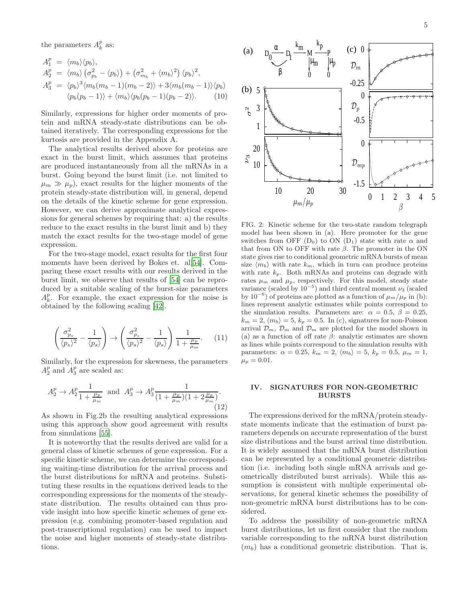the parameters  $A_k^p$  as:

<span id="page-4-3"></span>
$$
A_1^p = \langle m_b \rangle \langle p_b \rangle,
$$
  
\n
$$
A_2^p = \langle m_b \rangle (\sigma_{p_b}^2 - \langle p_b \rangle) + (\sigma_{m_b}^2 + \langle m_b \rangle^2) \langle p_b \rangle^2,
$$
  
\n
$$
A_3^p = \langle p_b \rangle^3 \langle m_b(m_b - 1)(m_b - 2) \rangle + 3 \langle m_b(m_b - 1) \rangle \langle p_b \rangle
$$
  
\n
$$
\langle p_b(p_b - 1) \rangle + \langle m_b \rangle \langle p_b(p_b - 1)(p_b - 2) \rangle.
$$
 (10)

Similarly, expressions for higher order moments of protein and mRNA steady-state distributions can be obtained iteratively. The corresponding expressions for the kurtosis are provided in the Appendix A.

The analytical results derived above for proteins are exact in the burst limit, which assumes that proteins are produced instantaneously from all the mRNAs in a burst. Going beyond the burst limit (i.e. not limited to  $\mu_m \gg \mu_p$ , exact results for the higher moments of the protein steady-state distribution will, in general, depend on the details of the kinetic scheme for gene expression. However, we can derive approximate analytical expressions for general schemes by requiring that: a) the results reduce to the exact results in the burst limit and b) they match the exact results for the two-stage model of gene expression.

For the two-stage model, exact results for the first four moments have been derived by Bokes et. al[\[54](#page-16-4)]. Comparing these exact results with our results derived in the burst limit, we observe that results of [\[54\]](#page-16-4) can be reproduced by a suitable scaling of the burst-size parameters  $A_k^p$ . For example, the exact expression for the noise is obtained by the following scaling [\[42\]](#page-15-16).

<span id="page-4-1"></span>
$$
\left(\frac{\sigma_{p_s}^2}{\langle p_s \rangle^2} - \frac{1}{\langle p_s \rangle}\right) \rightarrow \left(\frac{\sigma_{p_s}^2}{\langle p_s \rangle^2} - \frac{1}{\langle p_s \rangle}\right) \frac{1}{1 + \frac{\mu_p}{\mu_m}}.\tag{11}
$$

Similarly, for the expression for skewness, the parameters  $A_2^p$  and  $A_3^p$  are scaled as:

<span id="page-4-2"></span>
$$
A_2^p \to A_2^p \frac{1}{1 + \frac{\mu_p}{\mu_m}} \text{ and } A_3^p \to A_3^p \frac{1}{(1 + \frac{\mu_p}{\mu_m})(1 + 2\frac{\mu_p}{\mu_m})}. \tag{12}
$$

As shown in Fig.2b the resulting analytical expressions using this approach show good agreement with results from simulations [\[55\]](#page-16-5).

It is noteworthy that the results derived are valid for a general class of kinetic schemes of gene expression. For a specific kinetic scheme, we can determine the corresponding waiting-time distribution for the arrival process and the burst distributions for mRNA and proteins. Substituting these results in the equations derived leads to the corresponding expressions for the moments of the steadystate distribution. The results obtained can thus provide insight into how specific kinetic schemes of gene expression (e.g. combining promoter-based regulation and post-transcriptional regulation) can be used to impact the noise and higher moments of steady-state distributions.



<span id="page-4-4"></span>FIG. 2: Kinetic scheme for the two-state random telegraph model has been shown in (a). Here promoter for the gene switches from OFF  $(D_0)$  to ON  $(D_1)$  state with rate  $\alpha$  and that from ON to OFF with rate  $\beta$ . The promoter in the ON state gives rise to conditional geometric mRNA bursts of mean size  $\langle m_b \rangle$  with rate  $k_m$ , which in turn can produce proteins with rate  $k_p$ . Both mRNAs and proteins can degrade with rates  $\mu_m$  and  $\mu_p$ , respectively. For this model, steady state variance (scaled by  $10^{-5}$ ) and third central moment  $\nu_3$  (scaled by 10<sup>-6</sup>) of proteins are plotted as a function of  $\mu_m/\mu_p$  in (b): lines represent analytic estimates while points correspond to the simulation results. Parameters are:  $\alpha = 0.5, \beta = 0.25,$  $k_m = 2, \langle m_b \rangle = 5, k_p = 0.5.$  In (c), signatures for non-Poisson arrival  $\mathcal{D}_m$ ,  $\mathcal{D}_m$  and  $\mathcal{D}_m$  are plotted for the model shown in (a) as a function of off rate  $\beta$ : analytic estimates are shown as lines while points correspond to the simulation results with parameters:  $\alpha = 0.25$ ,  $k_m = 2$ ,  $\langle m_b \rangle = 5$ ,  $k_p = 0.5$ ,  $\mu_m = 1$ ,  $\mu_p = 0.01.$ 

#### <span id="page-4-0"></span>IV. SIGNATURES FOR NON-GEOMETRIC BURSTS

The expressions derived for the mRNA/protein steadystate moments indicate that the estimation of burst parameters depends on accurate representation of the burst size distributions and the burst arrival time distribution. It is widely assumed that the mRNA burst distribution can be represented by a conditional geometric distribution (i.e. including both single mRNA arrivals and geometrically distributed burst arrivals). While this assumption is consistent with multiple experimental observations, for general kinetic schemes the possibility of non-geometric mRNA burst distributions has to be considered.

To address the possibility of non-geometric mRNA burst distributions, let us first consider that the random variable corresponding to the mRNA burst distribution  $(m_b)$  has a conditional geometric distribution. That is,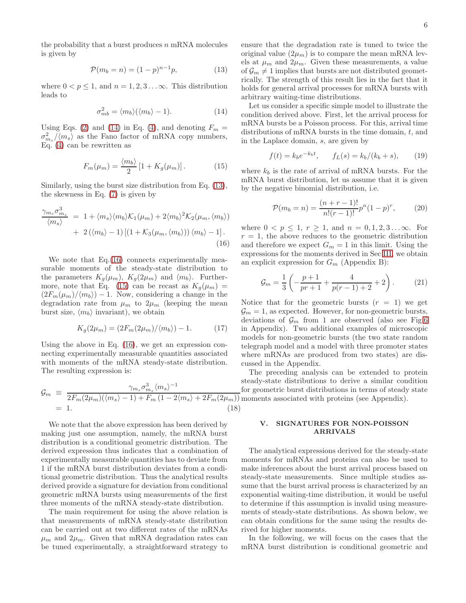the probability that a burst produces  $n$  mRNA molecules is given by

<span id="page-5-2"></span>
$$
\mathcal{P}(m_b = n) = (1 - p)^{n-1}p,\tag{13}
$$

where  $0 < p \leq 1$ , and  $n = 1, 2, 3...$  $\infty$ . This distribution leads to

<span id="page-5-1"></span>
$$
\sigma_{mb}^2 = \langle m_b \rangle (\langle m_b \rangle - 1). \tag{14}
$$

Using Eqs. [\(2\)](#page-2-1) and [\(14\)](#page-5-1) in Eq. [\(4\)](#page-3-1), and denoting  $F_m =$  $\sigma_{m_s}^2/\langle m_s \rangle$  as the Fano factor of mRNA copy numbers, Eq. [\(4\)](#page-3-1) can be rewritten as

<span id="page-5-4"></span>
$$
F_m(\mu_m) = \frac{\langle m_b \rangle}{2} \left[ 1 + K_g(\mu_m) \right]. \tag{15}
$$

Similarly, using the burst size distribution from Eq. [\(13\)](#page-5-2), the skewness in Eq. [\(7\)](#page-3-3) is given by

<span id="page-5-3"></span>
$$
\frac{\gamma_{m_s}\sigma_{m_s}^3}{\langle m_s \rangle} = 1 + \langle m_s \rangle \langle m_b \rangle \mathcal{K}_1(\mu_m) + 2 \langle m_b \rangle^2 \mathcal{K}_2(\mu_m, \langle m_b \rangle) + 2 (\langle m_b \rangle - 1) \left[ (1 + \mathcal{K}_3(\mu_m, \langle m_b \rangle)) \langle m_b \rangle - 1 \right].
$$
\n(16)

We note that Eq.[\(16\)](#page-5-3) connects experimentally measurable moments of the steady-state distribution to the parameters  $K_q(\mu_m)$ ,  $K_q(2\mu_m)$  and  $\langle m_b \rangle$ . Further-more, note that Eq. [\(15\)](#page-5-4) can be recast as  $K_g(\mu_m)$  =  $(2F_m(\mu_m)/\langle m_b \rangle) - 1$ . Now, considering a change in the degradation rate from  $\mu_m$  to  $2\mu_m$  (keeping the mean burst size,  $\langle m_b \rangle$  invariant), we obtain

$$
K_g(2\mu_m) = \left(2F_m(2\mu_m)/\langle m_b \rangle\right) - 1. \tag{17}
$$

Using the above in Eq. [\(16\)](#page-5-3), we get an expression connecting experimentally measurable quantities associated with moments of the mRNA steady-state distribution. The resulting expression is:

<span id="page-5-7"></span>
$$
\mathcal{G}_m \equiv \frac{\gamma_{m_s} \sigma_{m_s}^3 \langle m_s \rangle^{-1}}{2F_m(2\mu_m)(\langle m_s \rangle - 1) + F_m(1 - 2\langle m_s \rangle + 2F_m(2\mu_m))} = 1. \tag{18}
$$

We note that the above expression has been derived by making just one assumption, namely, the mRNA burst distribution is a conditional geometric distribution. The derived expression thus indicates that a combination of experimentally measurable quantities has to deviate from 1 if the mRNA burst distribution deviates from a conditional geometric distribution. Thus the analytical results derived provide a signature for deviation from conditional geometric mRNA bursts using measurements of the first three moments of the mRNA steady-state distribution.

The main requirement for using the above relation is that measurements of mRNA steady-state distribution can be carried out at two different rates of the mRNAs  $\mu_m$  and  $2\mu_m$ . Given that mRNA degradation rates can be tuned experimentally, a straightforward strategy to

ensure that the degradation rate is tuned to twice the original value  $(2\mu_m)$  is to compare the mean mRNA levels at  $\mu_m$  and  $2\mu_m$ . Given these measurements, a value of  $\mathcal{G}_m \neq 1$  implies that bursts are not distributed geometrically. The strength of this result lies in the fact that it holds for general arrival processes for mRNA bursts with arbitrary waiting-time distributions.

Let us consider a specific simple model to illustrate the condition derived above. First, let the arrival process for mRNA bursts be a Poisson process. For this, arrival time distributions of mRNA bursts in the time domain, t, and in the Laplace domain, s, are given by

<span id="page-5-5"></span>
$$
f(t) = k_b e^{-k_b t}, \qquad f_L(s) = k_b / (k_b + s), \tag{19}
$$

where  $k_b$  is the rate of arrival of mRNA bursts. For the mRNA burst distribution, let us assume that it is given by the negative binomial distribution, i.e.

<span id="page-5-6"></span>
$$
\mathcal{P}(m_b = n) = \frac{(n+r-1)!}{n!(r-1)!}p^n(1-p)^r, \qquad (20)
$$

where  $0 < p \le 1$ ,  $r \ge 1$ , and  $n = 0, 1, 2, 3...$  $\infty$ . For  $r = 1$ , the above reduces to the geometric distribution and therefore we expect  $G_m = 1$  in this limit. Using the expressions for the moments derived in Sec [III,](#page-2-0) we obtain an explicit expression for  $G_m$  (Appendix B):

$$
\mathcal{G}_m = \frac{1}{3} \left( -\frac{p+1}{pr+1} + \frac{4}{p(r-1)+2} + 2 \right). \tag{21}
$$

Notice that for the geometric bursts  $(r = 1)$  we get  $\mathcal{G}_m = 1$ , as expected. However, for non-geometric bursts, deviations of  $\mathcal{G}_m$  from 1 are observed (also see Fig[.6](#page-11-0)) in Appendix). Two additional examples of microscopic models for non-geometric bursts (the two state random telegraph model and a model with three promoter states where mRNAs are produced from two states) are discussed in the Appendix.

The preceding analysis can be extended to protein steady-state distributions to derive a similar condition for geometric burst distributions in terms of steady state moments associated with proteins (see Appendix).

#### <span id="page-5-0"></span>V. SIGNATURES FOR NON-POISSON ARRIVALS

The analytical expressions derived for the steady-state moments for mRNAs and proteins can also be used to make inferences about the burst arrival process based on steady-state measurements. Since multiple studies assume that the burst arrival process is characterized by an exponential waiting-time distribution, it would be useful to determine if this assumption is invalid using measurements of steady-state distributions. As shown below, we can obtain conditions for the same using the results derived for higher moments.

In the following, we will focus on the cases that the mRNA burst distribution is conditional geometric and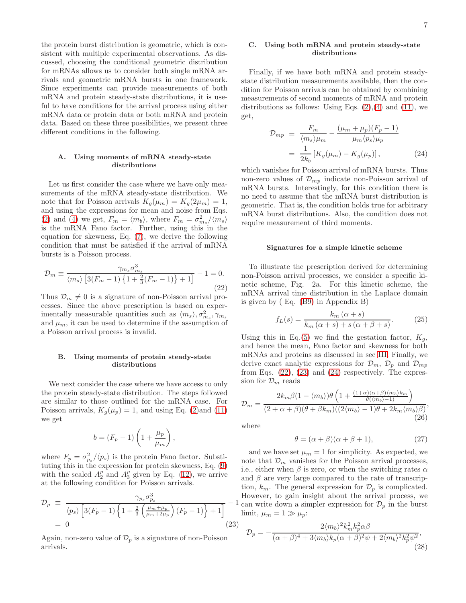the protein burst distribution is geometric, which is consistent with multiple experimental observations. As discussed, choosing the conditional geometric distribution for mRNAs allows us to consider both single mRNA arrivals and geometric mRNA bursts in one framework. Since experiments can provide measurements of both mRNA and protein steady-state distributions, it is useful to have conditions for the arrival process using either mRNA data or protein data or both mRNA and protein data. Based on these three possibilities, we present three different conditions in the following.

### A. Using moments of mRNA steady-state distributions

Let us first consider the case where we have only measurements of the mRNA steady-state distribution. We note that for Poisson arrivals  $K_q(\mu_m) = K_q(2\mu_m) = 1$ , and using the expressions for mean and noise from Eqs. [\(2\)](#page-2-1) and [\(4\)](#page-3-1) we get,  $F_m = \langle m_b \rangle$ , where  $F_m = \frac{\sigma_{m_s}^2}{\langle m_s \rangle}$ is the mRNA Fano factor. Further, using this in the equation for skewness, Eq. [\(7\)](#page-3-3), we derive the following condition that must be satisfied if the arrival of mRNA bursts is a Poisson process.

<span id="page-6-0"></span>
$$
\mathcal{D}_m \equiv \frac{\gamma_{m_s} \sigma_{m_s}^3}{\langle m_s \rangle \left[ 3(F_m - 1) \left\{ 1 + \frac{2}{3}(F_m - 1) \right\} + 1 \right]} - 1 = 0.
$$
\n(22)

Thus  $\mathcal{D}_m \neq 0$  is a signature of non-Poisson arrival processes. Since the above prescription is based on experimentally measurable quantities such as  $\langle m_s \rangle, \sigma_{m_s}^2, \gamma_{m_s}$ and  $\mu_m$ , it can be used to determine if the assumption of a Poisson arrival process is invalid.

### B. Using moments of protein steady-state distributions

We next consider the case where we have access to only the protein steady-state distribution. The steps followed are similar to those outlined for the mRNA case. For Poisson arrivals,  $K_g(\mu_p) = 1$ , and using Eq. [\(2\)](#page-2-1)and [\(11\)](#page-4-1) we get

$$
b = (F_p - 1) \left( 1 + \frac{\mu_p}{\mu_m} \right),
$$

where  $F_p = \sigma_{p_s}^2 / \langle p_s \rangle$  is the protein Fano factor. Substituting this in the expression for protein skewness, Eq. [\(9\)](#page-3-4) with the scaled  $A_2^p$  and  $A_3^p$  given by Eq. [\(12\)](#page-4-2), we arrive at the following condition for Poisson arrivals.

<span id="page-6-1"></span>
$$
\mathcal{D}_p \equiv \frac{\gamma_{p_s} \sigma_{p_s}^3}{\langle p_s \rangle \left[ 3(F_p - 1) \left\{ 1 + \frac{2}{3} \left( \frac{\mu_m + \mu_p}{\mu_m + 2\mu_p} \right) (F_p - 1) \right\} + 1 \right]} - 1
$$
  
= 0 (23)

Again, non-zero value of  $\mathcal{D}_p$  is a signature of non-Poisson arrivals.

### C. Using both mRNA and protein steady-state distributions

Finally, if we have both mRNA and protein steadystate distribution measurements available, then the condition for Poisson arrivals can be obtained by combining measurements of second moments of mRNA and protein distributions as follows: Using Eqs.  $(2),(4)$  $(2),(4)$  and  $(11)$ , we get,

<span id="page-6-2"></span>
$$
\mathcal{D}_{mp} \equiv \frac{F_m}{\langle m_s \rangle \mu_m} - \frac{(\mu_m + \mu_p)(F_p - 1)}{\mu_m \langle p_s \rangle \mu_p}
$$

$$
= \frac{1}{2k_b} \left[ K_g(\mu_m) - K_g(\mu_p) \right], \tag{24}
$$

which vanishes for Poisson arrival of mRNA bursts. Thus non-zero values of  $\mathcal{D}_{mp}$  indicate non-Poisson arrival of mRNA bursts. Interestingly, for this condition there is no need to assume that the mRNA burst distribution is geometric. That is, the condition holds true for arbitrary mRNA burst distributions. Also, the condition does not require measurement of third moments.

#### Signatures for a simple kinetic scheme

To illustrate the prescription derived for determining non-Poisson arrival processes, we consider a specific kinetic scheme, Fig. 2a. For this kinetic scheme, the mRNA arrival time distribution in the Laplace domain is given by ( Eq. [\(B9\)](#page-12-0) in Appendix B)

<span id="page-6-3"></span>
$$
f_L(s) = \frac{k_m(\alpha + s)}{k_m(\alpha + s) + s(\alpha + \beta + s)}.
$$
 (25)

Using this in Eq.[\(5\)](#page-3-0) we find the gestation factor,  $K_q$ , and hence the mean, Fano factor and skewness for both mRNAs and proteins as discussed in sec [III.](#page-2-0) Finally, we derive exact analytic expressions for  $\mathcal{D}_m$ ,  $\mathcal{D}_p$  and  $\mathcal{D}_{mp}$ from Eqs.  $(22)$ ,  $(23)$  and  $(24)$  respectively. The expression for  $\mathcal{D}_m$  reads

$$
\mathcal{D}_m = \frac{2k_m\beta(1 - \langle m_b \rangle)\theta\left(1 + \frac{(1+\alpha)(\alpha+\beta)\langle m_b \rangle k_m}{\theta(\langle m_b \rangle - 1)}\right)}{(2+\alpha+\beta)(\theta+\beta k_m)((2\langle m_b \rangle - 1)\theta + 2k_m\langle m_b \rangle\beta)},
$$
\n(26)

where

$$
\theta = (\alpha + \beta)(\alpha + \beta + 1),\tag{27}
$$

and we have set  $\mu_m = 1$  for simplicity. As expected, we note that  $\mathcal{D}_m$  vanishes for the Poisson arrival processes, i.e., either when  $\beta$  is zero, or when the switching rates  $\alpha$ and  $\beta$  are very large compared to the rate of transcription,  $k_m$ . The general expression for  $\mathcal{D}_p$  is complicated. However, to gain insight about the arrival process, we can write down a simpler expression for  $\mathcal{D}_p$  in the burst limit,  $\mu_m = 1 \gg \mu_p$ :

$$
\mathcal{D}_p = -\frac{2\langle m_b \rangle^2 k_m^2 k_p^2 \alpha \beta}{(\alpha + \beta)^4 + 3\langle m_b \rangle k_p (\alpha + \beta)^2 \psi + 2\langle m_b \rangle^2 k_p^2 \psi^2},\tag{28}
$$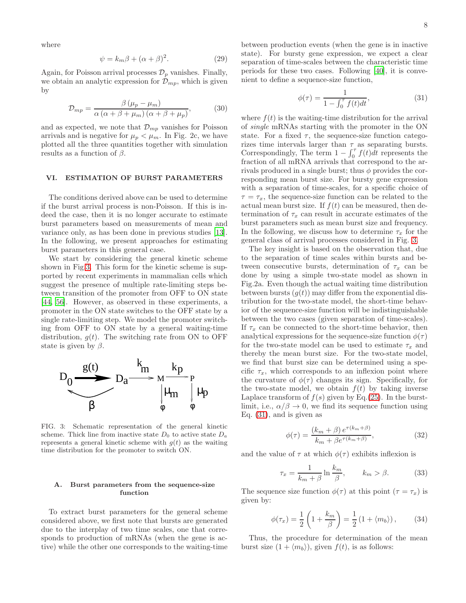where

$$
\psi = k_m \beta + (\alpha + \beta)^2. \tag{29}
$$

Again, for Poisson arrival processes  $\mathcal{D}_p$  vanishes. Finally, we obtain an analytic expression for  $\mathcal{D}_{mp}$ , which is given by

$$
\mathcal{D}_{mp} = \frac{\beta \left(\mu_p - \mu_m\right)}{\alpha \left(\alpha + \beta + \mu_m\right) \left(\alpha + \beta + \mu_p\right)},\tag{30}
$$

and as expected, we note that  $\mathcal{D}_{mp}$  vanishes for Poisson arrivals and is negative for  $\mu_p < \mu_m$ . In Fig. 2c, we have plotted all the three quantities together with simulation results as a function of  $\beta$ .

## <span id="page-7-0"></span>VI. ESTIMATION OF BURST PARAMETERS

The conditions derived above can be used to determine if the burst arrival process is non-Poisson. If this is indeed the case, then it is no longer accurate to estimate burst parameters based on measurements of mean and variance only, as has been done in previous studies [\[13\]](#page-14-5). In the following, we present approaches for estimating burst parameters in this general case.

We start by considering the general kinetic scheme shown in Fig[.3.](#page-7-1) This form for the kinetic scheme is supported by recent experiments in mammalian cells which suggest the presence of multiple rate-limiting steps between transition of the promoter from OFF to ON state [\[44,](#page-15-18) [56\]](#page-16-6). However, as observed in these experiments, a promoter in the ON state switches to the OFF state by a single rate-limiting step. We model the promoter switching from OFF to ON state by a general waiting-time distribution,  $g(t)$ . The switching rate from ON to OFF state is given by  $\beta$ .



<span id="page-7-1"></span>FIG. 3: Schematic representation of the general kinetic scheme. Thick line from inactive state  $D_0$  to active state  $D_a$ represents a general kinetic scheme with  $g(t)$  as the waiting time distribution for the promoter to switch ON.

## A. Burst parameters from the sequence-size function

To extract burst parameters for the general scheme considered above, we first note that bursts are generated due to the interplay of two time scales, one that corresponds to production of mRNAs (when the gene is active) while the other one corresponds to the waiting-time between production events (when the gene is in inactive state). For bursty gene expression, we expect a clear separation of time-scales between the characteristic time periods for these two cases. Following [\[40\]](#page-15-13), it is convenient to define a sequence-size function,

<span id="page-7-2"></span>
$$
\phi(\tau) = \frac{1}{1 - \int_0^{\tau} f(t)dt},
$$
\n(31)

where  $f(t)$  is the waiting-time distribution for the arrival of single mRNAs starting with the promoter in the ON state. For a fixed  $\tau$ , the sequence-size function categorizes time intervals larger than  $\tau$  as separating bursts. Correspondingly, The term  $1 - \int_0^{\tau} f(t)dt$  represents the fraction of all mRNA arrivals that correspond to the arrivals produced in a single burst; thus  $\phi$  provides the corresponding mean burst size. For bursty gene expression with a separation of time-scales, for a specific choice of  $\tau = \tau_x$ , the sequence-size function can be related to the actual mean burst size. If  $f(t)$  can be measured, then determination of  $\tau_x$  can result in accurate estimates of the burst parameters such as mean burst size and frequency. In the following, we discuss how to determine  $\tau_x$  for the general class of arrival processes considered in Fig. [3.](#page-7-1)

The key insight is based on the observation that, due to the separation of time scales within bursts and between consecutive bursts, determination of  $\tau_x$  can be done by using a simple two-state model as shown in Fig.2a. Even though the actual waiting time distribution between bursts  $(g(t))$  may differ from the exponential distribution for the two-state model, the short-time behavior of the sequence-size function will be indistinguishable between the two cases (given separation of time-scales). If  $\tau_x$  can be connected to the short-time behavior, then analytical expressions for the sequence-size function  $\phi(\tau)$ for the two-state model can be used to estimate  $\tau_x$  and thereby the mean burst size. For the two-state model, we find that burst size can be determined using a specific  $\tau_x$ , which corresponds to an inflexion point where the curvature of  $\phi(\tau)$  changes its sign. Specifically, for the two-state model, we obtain  $f(t)$  by taking inverse Laplace transform of  $f(s)$  given by Eq.[\(25\)](#page-6-3). In the burstlimit, i.e.,  $\alpha/\beta \to 0$ , we find its sequence function using Eq. [\(31\)](#page-7-2), and is given as

$$
\phi(\tau) = \frac{(k_m + \beta) e^{\tau(k_m + \beta)}}{k_m + \beta e^{\tau(k_m + \beta)}},\tag{32}
$$

and the value of  $\tau$  at which  $\phi(\tau)$  exhibits inflexion is

$$
\tau_x = \frac{1}{k_m + \beta} \ln \frac{k_m}{\beta}, \qquad k_m > \beta. \tag{33}
$$

The sequence size function  $\phi(\tau)$  at this point  $(\tau = \tau_x)$  is given by:

$$
\phi(\tau_x) = \frac{1}{2} \left( 1 + \frac{k_m}{\beta} \right) = \frac{1}{2} \left( 1 + \langle m_b \rangle \right), \tag{34}
$$

Thus, the procedure for determination of the mean burst size  $(1 + \langle m_b \rangle)$ , given  $f(t)$ , is as follows: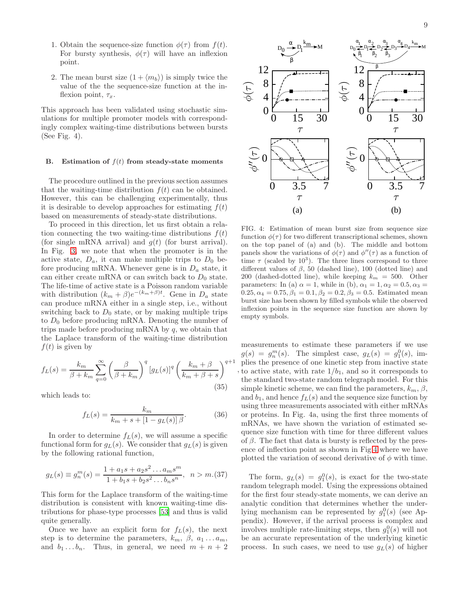- 1. Obtain the sequence-size function  $\phi(\tau)$  from  $f(t)$ . For bursty synthesis,  $\phi(\tau)$  will have an inflexion point.
- 2. The mean burst size  $(1 + \langle m_b \rangle)$  is simply twice the value of the the sequence-size function at the inflexion point,  $\tau_x$ .

This approach has been validated using stochastic simulations for multiple promoter models with correspondingly complex waiting-time distributions between bursts (See Fig. 4).

#### B. Estimation of  $f(t)$  from steady-state moments

The procedure outlined in the previous section assumes that the waiting-time distribution  $f(t)$  can be obtained. However, this can be challenging experimentally, thus it is desirable to develop approaches for estimating  $f(t)$ based on measurements of steady-state distributions.

To proceed in this direction, let us first obtain a relation connecting the two waiting-time distributions  $f(t)$ (for single mRNA arrival) and  $q(t)$  (for burst arrival). In Fig. [3,](#page-7-1) we note that when the promoter is in the active state,  $D_a$ , it can make multiple trips to  $D_0$  before producing mRNA. Whenever gene is in  $D<sub>a</sub>$  state, it can either create mRNA or can switch back to  $D_0$  state. The life-time of active state is a Poisson random variable with distribution  $(k_m + \beta)e^{-(k_m + \beta)t}$ . Gene in  $D_a$  state can produce mRNA either in a single step, i.e., without switching back to  $D_0$  state, or by making multiple trips to  $D_0$  before producing mRNA. Denoting the number of trips made before producing mRNA by  $q$ , we obtain that the Laplace transform of the waiting-time distribution  $f(t)$  is given by

$$
f_L(s) = \frac{k_m}{\beta + k_m} \sum_{q=0}^{\infty} \left(\frac{\beta}{\beta + k_m}\right)^q [g_L(s)]^q \left(\frac{k_m + \beta}{k_m + \beta + s}\right)^{q+1}
$$
\n(35)

which leads to:

$$
f_L(s) = \frac{k_m}{k_m + s + [1 - g_L(s)]\beta}.
$$
 (36)

In order to determine  $f_L(s)$ , we will assume a specific functional form for  $g_L(s)$ . We consider that  $g_L(s)$  is given by the following rational function,

<span id="page-8-1"></span>
$$
g_L(s) \equiv g_n^m(s) = \frac{1 + a_1s + a_2s^2 \dots a_ms^m}{1 + b_1s + b_2s^2 \dots b_ns^n}, \ \ n > m.(37)
$$

This form for the Laplace transform of the waiting-time distribution is consistent with known waiting-time distributions for phase-type processes [\[53](#page-16-3)] and thus is valid quite generally.

Once we have an explicit form for  $f_L(s)$ , the next step is to determine the parameters,  $k_m$ ,  $\beta$ ,  $a_1 \dots a_m$ , and  $b_1 \ldots b_n$ . Thus, in general, we need  $m + n + 2$ 



<span id="page-8-0"></span>FIG. 4: Estimation of mean burst size from sequence size function  $\phi(\tau)$  for two different transcriptional schemes, shown on the top panel of (a) and (b). The middle and bottom panels show the variations of  $\phi(\tau)$  and  $\phi''(\tau)$  as a function of time  $\tau$  (scaled by 10<sup>3</sup>). The three lines correspond to three different values of  $\beta$ , 50 (dashed line), 100 (dotted line) and 200 (dashed-dotted line), while keeping  $k_m = 500$ . Other parameters: In (a)  $\alpha = 1$ , while in (b),  $\alpha_1 = 1, \alpha_2 = 0.5, \alpha_3 =$  $0.25, \alpha_4 = 0.75, \beta_1 = 0.1, \beta_2 = 0.2, \beta_3 = 0.5$ . Estimated mean burst size has been shown by filled symbols while the observed inflexion points in the sequence size function are shown by empty symbols.

, to active state, with rate  $1/b_1$ , and so it corresponds to measurements to estimate these parameters if we use  $g(s) = g_n^m(s)$ . The simplest case,  $g_L(s) = g_1^0(s)$ , implies the presence of one kinetic step from inactive state the standard two-state random telegraph model. For this simple kinetic scheme, we can find the parameters,  $k_m$ ,  $\beta$ , and  $b_1$ , and hence  $f_L(s)$  and the sequence size function by using three measurements associated with either mRNAs or proteins. In Fig. 4a, using the first three moments of mRNAs, we have shown the variation of estimated sequence size function with time for three different values of  $\beta$ . The fact that data is bursty is reflected by the presence of inflection point as shown in Fig[.4](#page-8-0) where we have plotted the variation of second derivative of  $\phi$  with time.

The form,  $g_L(s) = g_1^0(s)$ , is exact for the two-state random telegraph model. Using the expressions obtained for the first four steady-state moments, we can derive an analytic condition that determines whether the underlying mechanism can be represented by  $g_1^0(s)$  (see Appendix). However, if the arrival process is complex and involves multiple rate-limiting steps, then  $g_1^0(s)$  will not be an accurate representation of the underlying kinetic process. In such cases, we need to use  $g_L(s)$  of higher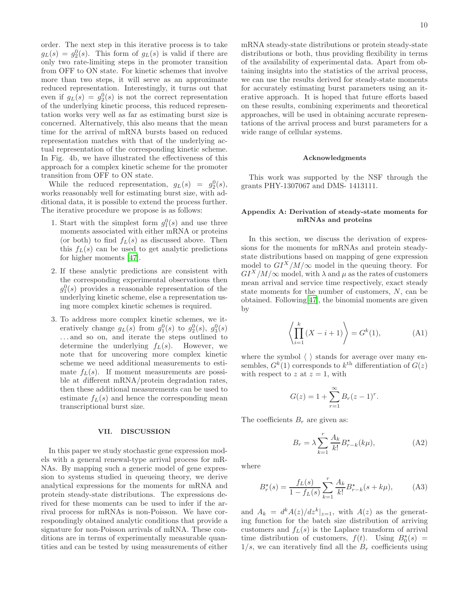order. The next step in this iterative process is to take  $g_L(s) = g_2^0(s)$ . This form of  $g_L(s)$  is valid if there are only two rate-limiting steps in the promoter transition from OFF to ON state. For kinetic schemes that involve more than two steps, it will serve as an approximate reduced representation. Interestingly, it turns out that even if  $g_L(s) = g_2^0(s)$  is not the correct representation of the underlying kinetic process, this reduced representation works very well as far as estimating burst size is concerned. Alternatively, this also means that the mean time for the arrival of mRNA bursts based on reduced representation matches with that of the underlying actual representation of the corresponding kinetic scheme. In Fig. 4b, we have illustrated the effectiveness of this approach for a complex kinetic scheme for the promoter transition from OFF to ON state.

While the reduced representation,  $g_L(s) = g_2^0(s)$ , works reasonably well for estimating burst size, with additional data, it is possible to extend the process further. The iterative procedure we propose is as follows:

- 1. Start with the simplest form  $g_1^0(s)$  and use three moments associated with either mRNA or proteins (or both) to find  $f_L(s)$  as discussed above. Then this  $f_L(s)$  can be used to get analytic predictions for higher moments [\[47\]](#page-15-21).
- 2. If these analytic predictions are consistent with the corresponding experimental observations then  $g_1^0(s)$  provides a reasonable representation of the underlying kinetic scheme, else a representation using more complex kinetic schemes is required.
- 3. To address more complex kinetic schemes, we iteratively change  $g_L(s)$  from  $g_1^0(s)$  to  $g_2^0(s)$ ,  $g_3^0(s)$ . . . and so on, and iterate the steps outlined to determine the underlying  $f_L(s)$ . However, we note that for uncovering more complex kinetic scheme we need additional measurements to estimate  $f_L(s)$ . If moment measurements are possible at different mRNA/protein degradation rates, then these additional measurements can be used to estimate  $f_L(s)$  and hence the corresponding mean transcriptional burst size.

#### <span id="page-9-0"></span>VII. DISCUSSION

In this paper we study stochastic gene expression models with a general renewal-type arrival process for mR-NAs. By mapping such a generic model of gene expression to systems studied in queueing theory, we derive analytical expressions for the moments for mRNA and protein steady-state distributions. The expressions derived for these moments can be used to infer if the arrival process for mRNAs is non-Poisson. We have correspondingly obtained analytic conditions that provide a signature for non-Poisson arrivals of mRNA. These conditions are in terms of experimentally measurable quantities and can be tested by using measurements of either

mRNA steady-state distributions or protein steady-state distributions or both, thus providing flexibility in terms of the availability of experimental data. Apart from obtaining insights into the statistics of the arrival process, we can use the results derived for steady-state moments for accurately estimating burst parameters using an iterative approach. It is hoped that future efforts based on these results, combining experiments and theoretical approaches, will be used in obtaining accurate representations of the arrival process and burst parameters for a wide range of cellular systems.

#### Acknowledgments

This work was supported by the NSF through the grants PHY-1307067 and DMS- 1413111.

## Appendix A: Derivation of steady-state moments for mRNAs and proteins

In this section, we discuss the derivation of expressions for the moments for mRNAs and protein steadystate distributions based on mapping of gene expression model to  $GI^X/M/\infty$  model in the queuing theory. For  $GI<sup>X</sup>/M/\infty$  model, with  $\lambda$  and  $\mu$  as the rates of customers mean arrival and service time respectively, exact steady state moments for the number of customers, N, can be obtained. Following[\[47\]](#page-15-21), the binomial moments are given by

<span id="page-9-3"></span>
$$
\left\langle \prod_{i=1}^{k} (X - i + 1) \right\rangle = G^{k}(1),
$$
 (A1)

where the symbol  $\langle \ \rangle$  stands for average over many ensembles,  $G^k(1)$  corresponds to  $k^{\text{th}}$  differentiation of  $G(z)$ with respect to z at  $z = 1$ , with

$$
G(z) = 1 + \sum_{r=1}^{\infty} B_r (z - 1)^r.
$$

The coefficients  $B_r$  are given as:

<span id="page-9-1"></span>
$$
B_r = \lambda \sum_{k=1}^r \frac{A_k}{k!} B_{r-k}^\star(k\mu),\tag{A2}
$$

where

<span id="page-9-2"></span>
$$
B_r^*(s) = \frac{f_L(s)}{1 - f_L(s)} \sum_{k=1}^r \frac{A_k}{k!} B_{r-k}^*(s + k\mu), \tag{A3}
$$

and  $A_k = d^k A(z)/dz^k|_{z=1}$ , with  $A(z)$  as the generating function for the batch size distribution of arriving customers and  $f_L(s)$  is the Laplace transform of arrival time distribution of customers,  $f(t)$ . Using  $B_0^*(s)$  =  $1/s$ , we can iteratively find all the  $B<sub>r</sub>$  coefficients using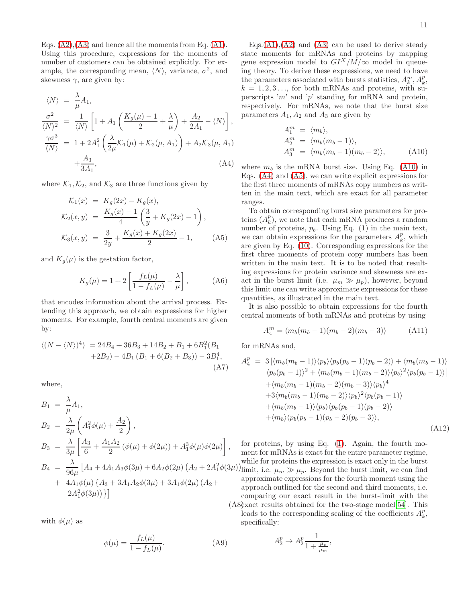Eqs.  $(A2)$ ,  $(A3)$  and hence all the moments from Eq.  $(A1)$ . Using this procedure, expressions for the moments of number of customers can be obtained explicitly. For example, the corresponding mean,  $\langle N \rangle$ , variance,  $\sigma^2$ , and skewness  $\gamma$ , are given by:

<span id="page-10-1"></span>
$$
\langle N \rangle = \frac{\lambda}{\mu} A_1,
$$
  
\n
$$
\frac{\sigma^2}{\langle N \rangle^2} = \frac{1}{\langle N \rangle} \left[ 1 + A_1 \left( \frac{K_g(\mu) - 1}{2} + \frac{\lambda}{\mu} \right) + \frac{A_2}{2A_1} - \langle N \rangle \right],
$$
  
\n
$$
\frac{\gamma \sigma^3}{\langle N \rangle} = 1 + 2A_1^2 \left( \frac{\lambda}{2\mu} \mathcal{K}_1(\mu) + \mathcal{K}_2(\mu, A_1) \right) + A_2 \mathcal{K}_3(\mu, A_1)
$$
  
\n
$$
+ \frac{A_3}{3A_1}, \tag{A4}
$$

where  $\mathcal{K}_1, \mathcal{K}_2$ , and  $\mathcal{K}_3$  are three functions given by

<span id="page-10-2"></span>
$$
\mathcal{K}_1(x) = K_g(2x) - K_g(x),
$$
  
\n
$$
\mathcal{K}_2(x, y) = \frac{K_g(x) - 1}{4} \left( \frac{3}{y} + K_g(2x) - 1 \right),
$$
  
\n
$$
\mathcal{K}_3(x, y) = \frac{3}{2y} + \frac{K_g(x) + K_g(2x)}{2} - 1,
$$
\n(A5)

and  $K_q(\mu)$  is the gestation factor,

$$
K_g(\mu) = 1 + 2 \left[ \frac{f_L(\mu)}{1 - f_L(\mu)} - \frac{\lambda}{\mu} \right],
$$
 (A6)

that encodes information about the arrival process. Extending this approach, we obtain expressions for higher moments. For example, fourth central moments are given by:

$$
\langle (N - \langle N \rangle)^4 \rangle = 24B_4 + 36B_3 + 14B_2 + B_1 + 6B_1^2(B_1 + 2B_2) - 4B_1(B_1 + 6(B_2 + B_3)) - 3B_1^4,
$$
  
(A7)

where,

$$
B_1 = \frac{\lambda}{\mu} A_1,
$$
  
\n
$$
B_2 = \frac{\lambda}{2\mu} \left( A_1^2 \phi(\mu) + \frac{A_2}{2} \right),
$$
  
\n
$$
B_3 = \frac{\lambda}{3\mu} \left[ \frac{A_3}{6} + \frac{A_1 A_2}{2} (\phi(\mu) + \phi(2\mu)) + A_1^3 \phi(\mu) \phi(2\mu) \right],
$$
  
\n
$$
B_4 = \frac{\lambda}{96\mu} \left[ A_4 + 4A_1 A_3 \phi(3\mu) + 6A_2 \phi(2\mu) (A_2 + 2A_1^2 \phi(3\mu) + 4A_1 \phi(\mu) \{A_3 + 3A_1 A_2 \phi(3\mu) + 3A_1 \phi(2\mu) (A_2 + 2A_1^2 \phi(3\mu)) \} \right]
$$

with  $\phi(\mu)$  as

$$
\phi(\mu) = \frac{f_L(\mu)}{1 - f_L(\mu)}.\tag{A9}
$$

Eqs. $(A1)$ , $(A2)$  and  $(A3)$  can be used to derive steady state moments for mRNAs and proteins by mapping gene expression model to  $GI^X/M/\infty$  model in queueing theory. To derive these expressions, we need to have the parameters associated with bursts statistics,  $A_k^m, A_k^p,$  $k = 1, 2, 3, \ldots$ , for both mRNAs and proteins, with superscripts 'm' and 'p' standing for mRNA and protein, respectively. For mRNAs, we note that the burst size parameters  $A_1$ ,  $A_2$  and  $A_3$  are given by

<span id="page-10-0"></span>
$$
A_1^m = \langle m_b \rangle,
$$
  
\n
$$
A_2^m = \langle m_b(m_b - 1) \rangle,
$$
  
\n
$$
A_3^m = \langle m_b(m_b - 1)(m_b - 2) \rangle,
$$
\n(A10)

where  $m_b$  is the mRNA burst size. Using Eq. [\(A10\)](#page-10-0) in Eqs. [\(A4\)](#page-10-1) and [\(A5\)](#page-10-2), we can write explicit expressions for the first three moments of mRNAs copy numbers as written in the main text, which are exact for all parameter ranges.

To obtain corresponding burst size parameters for proteins  $(A_k^p)$ , we note that each mRNA produces a random number of proteins,  $p_b$ . Using Eq. (1) in the main text, we can obtain expressions for the parameters  $A_k^p$ , which are given by Eq. [\(10\)](#page-4-3). Corresponding expressions for the first three moments of protein copy numbers has been written in the main text. It is to be noted that resulting expressions for protein variance and skewness are exact in the burst limit (i.e.  $\mu_m \gg \mu_p$ ), however, beyond this limit one can write approximate expressions for these quantities, as illustrated in the main text.

It is also possible to obtain expressions for the fourth central moments of both mRNAs and proteins by using

$$
A_4^m = \langle m_b(m_b - 1)(m_b - 2)(m_b - 3) \rangle \tag{A11}
$$

for mRNAs and,

$$
A_4^p = 3 \left[ \langle m_b(m_b - 1) \rangle \langle p_b \rangle \langle p_b(p_b - 1)(p_b - 2) \rangle + \langle m_b(m_b - 1) \rangle \langle p_b(p_b - 1) \rangle^2 + \langle m_b(m_b - 1)(m_b - 2) \rangle \langle p_b \rangle^2 \langle p_b(p_b - 1) \rangle \right] + \langle m_b(m_b - 1)(m_b - 2)(m_b - 3) \rangle \langle p_b \rangle^4 + 3 \langle m_b(m_b - 1)(m_b - 2) \rangle \langle p_b \rangle^2 \langle p_b(p_b - 1) \rangle + \langle m_b(m_b - 1) \rangle \langle p_b \rangle \langle p_b(p_b - 1)(p_b - 2) \rangle + \langle m_b \rangle \langle p_b(p_b - 1)(p_b - 2)(p_b - 3) \rangle,
$$
\n(A12)

 $\int_{1}^{2} \phi(3\mu)$  limit, i.e.  $\mu_{m} \gg \mu_{p}$ . Beyond the burst limit, we can find (A8) exact results obtained for the two-stage model [\[54](#page-16-4)]. This for proteins, by using Eq. [\(1\)](#page-1-2). Again, the fourth moment for mRNAs is exact for the entire parameter regime, while for proteins the expression is exact only in the burst approximate expressions for the fourth moment using the approach outlined for the second and third moments, i.e. comparing our exact result in the burst-limit with the leads to the corresponding scaling of the coefficients  $A_k^p$ , specifically:

$$
A_2^p \to A_2^p \frac{1}{1 + \frac{\mu_p}{\mu_m}},
$$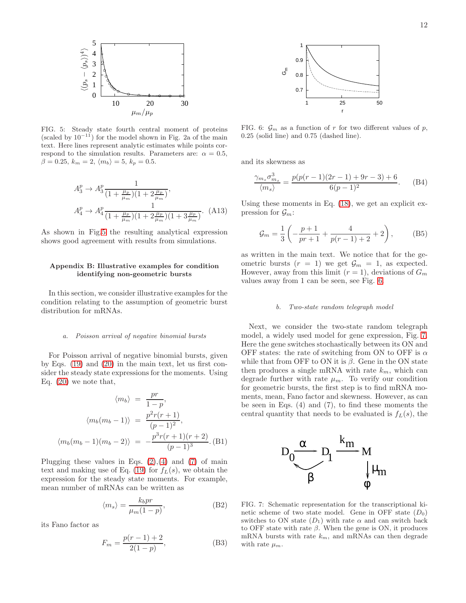

<span id="page-11-1"></span>FIG. 5: Steady state fourth central moment of proteins (scaled by  $10^{-11}$ ) for the model shown in Fig. 2a of the main text. Here lines represent analytic estimates while points correspond to the simulation results. Parameters are:  $\alpha = 0.5$ ,  $\beta = 0.25, k_m = 2, \langle m_b \rangle = 5, k_p = 0.5.$ 

$$
A_3^p \to A_3^p \frac{1}{(1 + \frac{\mu_p}{\mu_m})(1 + 2\frac{\mu_p}{\mu_m})},
$$
  

$$
A_4^p \to A_4^p \frac{1}{(1 + \frac{\mu_p}{\mu_m})(1 + 2\frac{\mu_p}{\mu_m})(1 + 3\frac{\mu_p}{\mu_m})}.
$$
 (A13)

As shown in Fig[.5](#page-11-1) the resulting analytical expression shows good agreement with results from simulations.

#### Appendix B: Illustrative examples for condition identifying non-geometric bursts

In this section, we consider illustrative examples for the condition relating to the assumption of geometric burst distribution for mRNAs.

#### a. Poisson arrival of negative binomial bursts

For Poisson arrival of negative binomial bursts, given by Eqs. [\(19\)](#page-5-5) and [\(20\)](#page-5-6) in the main text, let us first consider the steady state expressions for the moments. Using Eq. [\(20\)](#page-5-6) we note that,

$$
\langle m_b \rangle = \frac{pr}{1 - p},
$$
  

$$
\langle m_b(m_b - 1) \rangle = \frac{p^2 r (r + 1)}{(p - 1)^2},
$$
  

$$
\langle m_b(m_b - 1)(m_b - 2) \rangle = -\frac{p^3 r (r + 1)(r + 2)}{(p - 1)^3}.
$$
 (B1)

Plugging these values in Eqs.  $(2),(4)$  $(2),(4)$  and  $(7)$  of main text and making use of Eq. [\(19\)](#page-5-5) for  $f_L(s)$ , we obtain the expression for the steady state moments. For example, mean number of mRNAs can be written as

$$
\langle m_s \rangle = \frac{k_b pr}{\mu_m (1 - p)},\tag{B2}
$$

its Fano factor as

$$
F_m = \frac{p(r-1)+2}{2(1-p)},
$$
\n(B3)



<span id="page-11-0"></span>FIG. 6:  $\mathcal{G}_m$  as a function of r for two different values of p, 0.25 (solid line) and 0.75 (dashed line).

and its skewness as

$$
\frac{\gamma_{m_s}\sigma_{m_s}^3}{\langle m_s \rangle} = \frac{p(p(r-1)(2r-1) + 9r - 3) + 6}{6(p-1)^2}.
$$
 (B4)

Using these moments in Eq. [\(18\)](#page-5-7), we get an explicit expression for  $\mathcal{G}_m$ :

$$
\mathcal{G}_m = \frac{1}{3} \left( -\frac{p+1}{pr+1} + \frac{4}{p(r-1)+2} + 2 \right), \tag{B5}
$$

as written in the main text. We notice that for the geometric bursts  $(r = 1)$  we get  $\mathcal{G}_m = 1$ , as expected. However, away from this limit  $(r = 1)$ , deviations of  $G_m$ values away from 1 can be seen, see Fig. [6.](#page-11-0)

#### b. Two-state random telegraph model

Next, we consider the two-state random telegraph model, a widely used model for gene expression, Fig. [7.](#page-11-2) Here the gene switches stochastically between its ON and OFF states: the rate of switching from ON to OFF is  $\alpha$ while that from OFF to ON it is  $\beta$ . Gene in the ON state then produces a single mRNA with rate  $k_m$ , which can degrade further with rate  $\mu_m$ . To verify our condition for geometric bursts, the first step is to find mRNA moments, mean, Fano factor and skewness. However, as can be seen in Eqs. (4) and (7), to find these moments the central quantity that needs to be evaluated is  $f_L(s)$ , the



<span id="page-11-2"></span>FIG. 7: Schematic representation for the transcriptional kinetic scheme of two state model. Gene in OFF state  $(D_0)$ switches to ON state  $(D_1)$  with rate  $\alpha$  and can switch back to OFF state with rate  $\beta$ . When the gene is ON, it produces mRNA bursts with rate  $k_m$ , and mRNAs can then degrade with rate  $\mu_m$ .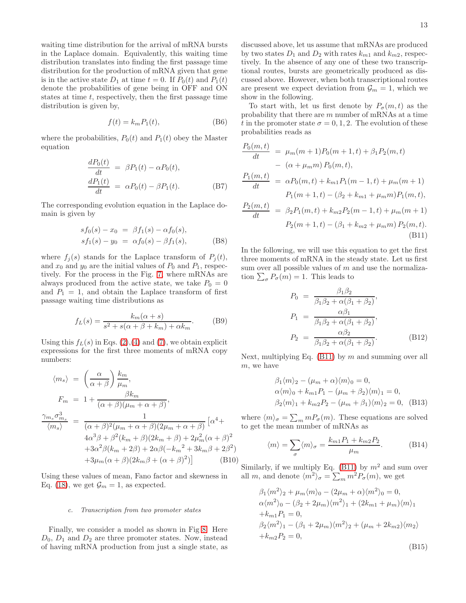waiting time distribution for the arrival of mRNA bursts in the Laplace domain. Equivalently, this waiting time distribution translates into finding the first passage time distribution for the production of mRNA given that gene is in the active state  $D_1$  at time  $t = 0$ . If  $P_0(t)$  and  $P_1(t)$ denote the probabilities of gene being in OFF and ON states at time  $t$ , respectively, then the first passage time distribution is given by,

$$
f(t) = k_m P_1(t),
$$
 (B6)

where the probabilities,  $P_0(t)$  and  $P_1(t)$  obey the Master equation

$$
\frac{dP_0(t)}{dt} = \beta P_1(t) - \alpha P_0(t),
$$
  
\n
$$
\frac{dP_1(t)}{dt} = \alpha P_0(t) - \beta P_1(t).
$$
 (B7)

The corresponding evolution equation in the Laplace domain is given by

$$
sf_0(s) - x_0 = \beta f_1(s) - \alpha f_0(s),
$$
  
\n
$$
sf_1(s) - y_0 = \alpha f_0(s) - \beta f_1(s),
$$
 (B8)

where  $f_i(s)$  stands for the Laplace transform of  $P_i(t)$ , and  $x_0$  and  $y_0$  are the initial values of  $P_0$  and  $P_1$ , respectively. For the process in the Fig. [7,](#page-11-2) where mRNAs are always produced from the active state, we take  $P_0 = 0$ and  $P_1 = 1$ , and obtain the Laplace transform of first passage waiting time distributions as

<span id="page-12-0"></span>
$$
f_L(s) = \frac{k_m(\alpha + s)}{s^2 + s(\alpha + \beta + k_m) + \alpha k_m}.
$$
 (B9)

Using this  $f_L(s)$  in Eqs. [\(2\)](#page-2-1), [\(4\)](#page-3-1) and [\(7\)](#page-3-3), we obtain explicit expressions for the first three moments of mRNA copy numbers:

$$
\langle m_s \rangle = \left(\frac{\alpha}{\alpha + \beta}\right) \frac{k_m}{\mu_m},
$$
  
\n
$$
F_m = 1 + \frac{\beta k_m}{(\alpha + \beta)(\mu_m + \alpha + \beta)},
$$
  
\n
$$
\frac{\gamma_{m_s} \sigma_{m_s}^3}{\langle m_s \rangle} = \frac{1}{(\alpha + \beta)^2 (\mu_m + \alpha + \beta)(2\mu_m + \alpha + \beta)} [\alpha^4 + 4\alpha^3 \beta + \beta^2 (k_m + \beta)(2k_m + \beta) + 2\mu_m^2 (\alpha + \beta)^2
$$
  
\n
$$
+3\alpha^2 \beta (k_m + 2\beta) + 2\alpha \beta (-k_m^2 + 3k_m \beta + 2\beta^2)
$$
  
\n
$$
+3\mu_m (\alpha + \beta)(2k_m \beta + (\alpha + \beta)^2)]
$$
 (B10)

Using these values of mean, Fano factor and skewness in Eq. [\(18\)](#page-5-7), we get  $\mathcal{G}_m = 1$ , as expected.

#### c. Transcription from two promoter states

Finally, we consider a model as shown in Fig [8.](#page-13-0) Here  $D_0$ ,  $D_1$  and  $D_2$  are three promoter states. Now, instead of having mRNA production from just a single state, as

discussed above, let us assume that mRNAs are produced by two states  $D_1$  and  $D_2$  with rates  $k_{m1}$  and  $k_{m2}$ , respectively. In the absence of any one of these two transcriptional routes, bursts are geometrically produced as discussed above. However, when both transcriptional routes are present we expect deviation from  $\mathcal{G}_m = 1$ , which we show in the following.

To start with, let us first denote by  $P_{\sigma}(m, t)$  as the probability that there are m number of mRNAs at a time t in the promoter state  $\sigma = 0, 1, 2$ . The evolution of these probabilities reads as

<span id="page-12-1"></span>
$$
\frac{P_0(m,t)}{dt} = \mu_m(m+1)P_0(m+1,t) + \beta_1 P_2(m,t)
$$
  
\n
$$
- (\alpha + \mu_m m) P_0(m,t),
$$
  
\n
$$
\frac{P_1(m,t)}{dt} = \alpha P_0(m,t) + k_{m1}P_1(m-1,t) + \mu_m(m+1)
$$
  
\n
$$
P_1(m+1,t) - (\beta_2 + k_{m1} + \mu_m m) P_1(m,t),
$$
  
\n
$$
\frac{P_2(m,t)}{dt} = \beta_2 P_1(m,t) + k_{m2}P_2(m-1,t) + \mu_m(m+1)
$$
  
\n
$$
P_2(m+1,t) - (\beta_1 + k_{m2} + \mu_m m) P_2(m,t).
$$
  
\n(B11)

In the following, we will use this equation to get the first three moments of mRNA in the steady state. Let us first sum over all possible values of  $m$  and use the normalization  $\sum_{\sigma} P_{\sigma}(m) = 1$ . This leads to

$$
P_0 = \frac{\beta_1 \beta_2}{\beta_1 \beta_2 + \alpha(\beta_1 + \beta_2)},
$$
  
\n
$$
P_1 = \frac{\alpha \beta_1}{\beta_1 \beta_2 + \alpha(\beta_1 + \beta_2)},
$$
  
\n
$$
P_2 = \frac{\alpha \beta_2}{\beta_1 \beta_2 + \alpha(\beta_1 + \beta_2)}.
$$
 (B12)

Next, multiplying Eq.  $(B11)$  by m and summing over all m, we have

$$
\beta_1 \langle m \rangle_2 - (\mu_m + \alpha) \langle m \rangle_0 = 0, \n\alpha \langle m \rangle_0 + k_{m1} P_1 - (\mu_m + \beta_2) \langle m \rangle_1 = 0, \n\beta_2 \langle m \rangle_1 + k_{m2} P_2 - (\mu_m + \beta_1) \langle m \rangle_2 = 0, \quad (B13)
$$

where  $\langle m \rangle_{\sigma} = \sum_{m} m P_{\sigma}(m)$ . These equations are solved to get the mean number of mRNAs as

$$
\langle m \rangle = \sum_{\sigma} \langle m \rangle_{\sigma} = \frac{k_{m1} P_1 + k_{m2} P_2}{\mu_m}.
$$
 (B14)

Similarly, if we multiply Eq. [\(B11\)](#page-12-1) by  $m^2$  and sum over all m, and denote  $\langle m^2 \rangle_{\sigma} = \sum_m m^2 P_{\sigma}(m)$ , we get

$$
\beta_1 \langle m^2 \rangle_2 + \mu_m \langle m \rangle_0 - (2\mu_m + \alpha) \langle m^2 \rangle_0 = 0,
$$
  
\n
$$
\alpha \langle m^2 \rangle_0 - (\beta_2 + 2\mu_m) \langle m^2 \rangle_1 + (2k_{m1} + \mu_m) \langle m \rangle_1
$$
  
\n
$$
+ k_{m1} P_1 = 0,
$$
  
\n
$$
\beta_2 \langle m^2 \rangle_1 - (\beta_1 + 2\mu_m) \langle m^2 \rangle_2 + (\mu_m + 2k_{m2}) \langle m_2 \rangle
$$
  
\n
$$
+ k_{m2} P_2 = 0,
$$
  
\n(B15)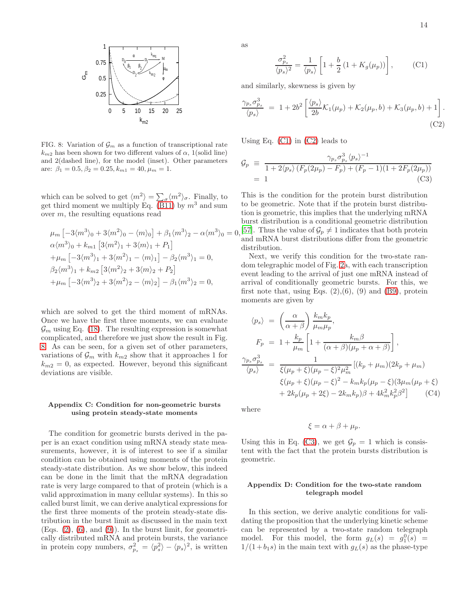

<span id="page-13-0"></span>FIG. 8: Variation of  $\mathcal{G}_m$  as a function of transcriptional rate  $k_{m2}$  has been shown for two different values of  $\alpha$ , 1(solid line) and 2(dashed line), for the model (inset). Other parameters are:  $\beta_1 = 0.5, \beta_2 = 0.25, k_{m1} = 40, \mu_m = 1.$ 

which can be solved to get  $\langle m^2 \rangle = \sum_{\sigma} \langle m^2 \rangle_{\sigma}$ . Finally, to get third moment we multiply Eq. [\(B11\)](#page-12-1) by  $m^3$  and sum over  $m$ , the resulting equations read

$$
\mu_m \left[ -3\langle m^3 \rangle_0 + 3\langle m^2 \rangle_0 - \langle m \rangle_0 \right] + \beta_1 \langle m^3 \rangle_2 - \alpha \langle m^3 \rangle_0 =
$$
  
\n
$$
\alpha \langle m^3 \rangle_0 + k_{m1} \left[ 3\langle m^2 \rangle_1 + 3\langle m \rangle_1 + P_1 \right]
$$
  
\n
$$
+ \mu_m \left[ -3\langle m^3 \rangle_1 + 3\langle m^2 \rangle_1 - \langle m \rangle_1 \right] - \beta_2 \langle m^3 \rangle_1 = 0,
$$
  
\n
$$
\beta_2 \langle m^3 \rangle_1 + k_{m2} \left[ 3\langle m^2 \rangle_2 + 3\langle m \rangle_2 + P_2 \right]
$$
  
\n
$$
+ \mu_m \left[ -3\langle m^3 \rangle_2 + 3\langle m^2 \rangle_2 - \langle m \rangle_2 \right] - \beta_1 \langle m^3 \rangle_2 = 0,
$$

which are solved to get the third moment of mRNAs. Once we have the first three moments, we can evaluate  $\mathcal{G}_m$  using Eq. [\(18\)](#page-5-7). The resulting expression is somewhat complicated, and therefore we just show the result in Fig. [8.](#page-13-0) As can be seen, for a given set of other parameters, variations of  $\mathcal{G}_m$  with  $k_{m2}$  show that it approaches 1 for  $k_{m2} = 0$ , as expected. However, beyond this significant deviations are visible.

### Appendix C: Condition for non-geometric bursts using protein steady-state moments

The condition for geometric bursts derived in the paper is an exact condition using mRNA steady state measurements, however, it is of interest to see if a similar condition can be obtained using moments of the protein steady-state distribution. As we show below, this indeed can be done in the limit that the mRNA degradation rate is very large compared to that of protein (which is a valid approximation in many cellular systems). In this so called burst limit, we can derive analytical expressions for the first three moments of the protein steady-state distribution in the burst limit as discussed in the main text (Eqs.  $(2)$ ,  $(6)$ , and  $(9)$ ). In the burst limit, for geometrically distributed mRNA and protein bursts, the variance in protein copy numbers,  $\sigma_{p_s}^2 = \langle p_s^2 \rangle - \langle p_s \rangle^2$ , is written

as

<span id="page-13-1"></span>
$$
\frac{\sigma_{p_s}^2}{\langle p_s \rangle^2} = \frac{1}{\langle p_s \rangle} \left[ 1 + \frac{b}{2} \left( 1 + K_g(\mu_p) \right) \right],\tag{C1}
$$

and similarly, skewness is given by

<span id="page-13-2"></span>
$$
\frac{\gamma_{p_s}\sigma_{p_s}^3}{\langle p_s \rangle} = 1 + 2b^2 \left[ \frac{\langle p_s \rangle}{2b} \mathcal{K}_1(\mu_p) + \mathcal{K}_2(\mu_p, b) + \mathcal{K}_3(\mu_p, b) + 1 \right].
$$
\n(C2)

Using Eq.  $(C1)$  in  $(C2)$  leads to

<span id="page-13-3"></span>
$$
\mathcal{G}_p \equiv \frac{\gamma_{p_s} \sigma_{p_s}^3 \langle p_s \rangle^{-1}}{1 + 2 \langle p_s \rangle \left( F_p(2\mu_p) - F_p \right) + (F_p - 1)(1 + 2F_p(2\mu_p))}
$$
  
= 1 (C3)

 $\phi_0 = 0$ , [\[57\]](#page-16-7). Thus the value of  $\mathcal{G}_p \neq 1$  indicates that both protein This is the condition for the protein burst distribution to be geometric. Note that if the protein burst distribution is geometric, this implies that the underlying mRNA burst distribution is a conditional geometric distribution and mRNA burst distributions differ from the geometric distribution.

> Next, we verify this condition for the two-state random telegraphic model of Fig. [2a](#page-4-4), with each transcription event leading to the arrival of just one mRNA instead of arrival of conditionally geometric bursts. For this, we first note that, using Eqs.  $(2),(6)$ ,  $(9)$  and  $(B9)$ , protein moments are given by

$$
\langle p_s \rangle = \left(\frac{\alpha}{\alpha + \beta}\right) \frac{k_m k_p}{\mu_m \mu_p},
$$
  
\n
$$
F_p = 1 + \frac{k_p}{\mu_m} \left[1 + \frac{k_m \beta}{(\alpha + \beta)(\mu_p + \alpha + \beta)}\right],
$$
  
\n
$$
\frac{\gamma_{p_s} \sigma_{p_s}^3}{\langle p_s \rangle} = \frac{1}{\xi(\mu_p + \xi)(\mu_p - \xi)^2 \mu_m^2} [(k_p + \mu_m)(2k_p + \mu_m)]
$$
  
\n
$$
\xi(\mu_p + \xi)(\mu_p - \xi)^2 - k_m k_p(\mu_p - \xi)(3\mu_m(\mu_p + \xi)) + 2k_p(\mu_p + 2\xi) - 2k_m k_p \beta + 4k_m^2 k_p^2 \beta^2] \tag{C4}
$$

where

$$
\xi = \alpha + \beta + \mu_p.
$$

Using this in Eq. [\(C3\)](#page-13-3), we get  $\mathcal{G}_p = 1$  which is consistent with the fact that the protein bursts distribution is geometric.

# Appendix D: Condition for the two-state random telegraph model

In this section, we derive analytic conditions for validating the proposition that the underlying kinetic scheme can be represented by a two-state random telegraph model. For this model, the form  $g_L(s) = g_1^0(s) =$  $1/(1+b_1s)$  in the main text with  $g_L(s)$  as the phase-type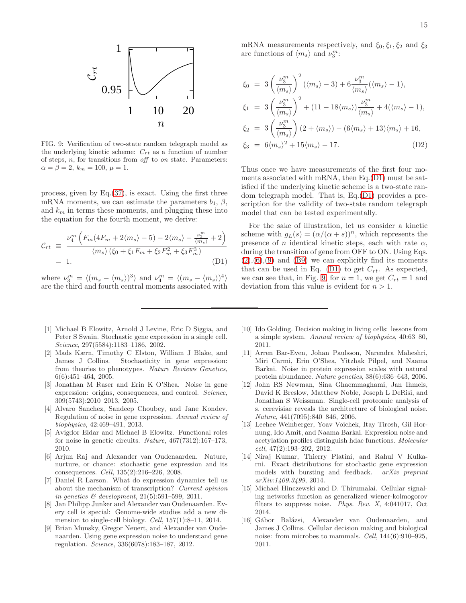

<span id="page-14-7"></span>FIG. 9: Verification of two-state random telegraph model as the underlying kinetic scheme:  $C_{rt}$  as a function of number of steps,  $n$ , for transitions from  $\partial f$  to  $\partial n$  state. Parameters:  $\alpha = \beta = 2, k_m = 100, \mu = 1.$ 

process, given by Eq.[\(37\)](#page-8-1), is exact. Using the first three mRNA moments, we can estimate the parameters  $b_1$ ,  $\beta$ , and  $k_m$  in terms these moments, and plugging these into the equation for the fourth moment, we derive:

<span id="page-14-6"></span>
$$
\mathcal{C}_{rt} \equiv \frac{\nu_4^m \left( F_m (4F_m + 2\langle m_s \rangle - 5) - 2\langle m_s \rangle - \frac{\nu_3^m}{\langle m_s \rangle} + 2 \right)}{\langle m_s \rangle \left( \xi_0 + \xi_1 F_m + \xi_2 F_m^2 + \xi_3 F_m^3 \right)} = 1. \tag{D1}
$$

where  $\nu_3^m = \langle (m_s - \langle m_s \rangle)^3 \rangle$  and  $\nu_4^m = \langle (m_s - \langle m_s \rangle)^4 \rangle$ are the third and fourth central moments associated with

- <span id="page-14-0"></span>[1] Michael B Elowitz, Arnold J Levine, Eric D Siggia, and Peter S Swain. Stochastic gene expression in a single cell. Science, 297(5584):1183–1186, 2002.
- [2] Mads Kærn, Timothy C Elston, William J Blake, and James J Collins. Stochasticity in gene expression: from theories to phenotypes. Nature Reviews Genetics, 6(6):451–464, 2005.
- [3] Jonathan M Raser and Erin K O'Shea. Noise in gene expression: origins, consequences, and control. Science, 309(5743):2010–2013, 2005.
- [4] Alvaro Sanchez, Sandeep Choubey, and Jane Kondev. Regulation of noise in gene expression. Annual review of biophysics, 42:469–491, 2013.
- [5] Avigdor Eldar and Michael B Elowitz. Functional roles for noise in genetic circuits. Nature, 467(7312):167–173, 2010.
- [6] Arjun Raj and Alexander van Oudenaarden. Nature, nurture, or chance: stochastic gene expression and its consequences. Cell, 135(2):216–226, 2008.
- <span id="page-14-4"></span>[7] Daniel R Larson. What do expression dynamics tell us about the mechanism of transcription? Current opinion in genetics  $\mathcal{B}$  development, 21(5):591-599, 2011.
- [8] Jan Philipp Junker and Alexander van Oudenaarden. Every cell is special: Genome-wide studies add a new dimension to single-cell biology. Cell, 157(1):8–11, 2014.
- [9] Brian Munsky, Gregor Neuert, and Alexander van Oudenaarden. Using gene expression noise to understand gene regulation. Science, 336(6078):183–187, 2012.

mRNA measurements respectively, and  $\xi_0, \xi_1, \xi_2$  and  $\xi_3$ are functions of  $\langle m_s \rangle$  and  $\nu_3^m$ :

$$
\xi_0 = 3\left(\frac{\nu_3^m}{\langle m_s \rangle}\right)^2 (\langle m_s \rangle - 3) + 6\frac{\nu_3^m}{\langle m_s \rangle} (\langle m_s \rangle - 1),
$$
  
\n
$$
\xi_1 = 3\left(\frac{\nu_3^m}{\langle m_s \rangle}\right)^2 + (11 - 18\langle m_s \rangle)\frac{\nu_3^m}{\langle m_s \rangle} + 4(\langle m_s \rangle - 1),
$$
  
\n
$$
\xi_2 = 3\left(\frac{\nu_3^m}{\langle m_s \rangle}\right)(2 + \langle m_s \rangle) - (6\langle m_s \rangle + 13)\langle m_s \rangle + 16,
$$
  
\n
$$
\xi_3 = 6\langle m_s \rangle^2 + 15\langle m_s \rangle - 17.
$$
 (D2)

Thus once we have measurements of the first four moments associated with mRNA, then Eq.[\(D1\)](#page-14-6) must be satisfied if the underlying kinetic scheme is a two-state random telegraph model. That is, Eq.[\(D1\)](#page-14-6) provides a prescription for the validity of two-state random telegraph model that can be tested experimentally.

For the sake of illustration, let us consider a kinetic scheme with  $g_L(s) = (\alpha/(\alpha + s))^n$ , which represents the presence of n identical kinetic steps, each with rate  $\alpha$ , during the transition of gene from OFF to ON. Using Eqs.  $(2),(6),(9)$  $(2),(6),(9)$  $(2),(6),(9)$  $(2),(6),(9)$  $(2),(6),(9)$  and  $(B9)$  we can explicitly find its moments that can be used in Eq. [\(D1\)](#page-14-6) to get  $C_{rt}$ . As expected, we can see that, in Fig. [9,](#page-14-7) for  $n = 1$ , we get  $C_{rt} = 1$  and deviation from this value is evident for  $n > 1$ .

- [10] Ido Golding. Decision making in living cells: lessons from a simple system. Annual review of biophysics, 40:63–80, 2011.
- [11] Arren Bar-Even, Johan Paulsson, Narendra Maheshri, Miri Carmi, Erin O'Shea, Yitzhak Pilpel, and Naama Barkai. Noise in protein expression scales with natural protein abundance. Nature genetics, 38(6):636–643, 2006.
- [12] John RS Newman, Sina Ghaemmaghami, Jan Ihmels, David K Breslow, Matthew Noble, Joseph L DeRisi, and Jonathan S Weissman. Single-cell proteomic analysis of s. cerevisiae reveals the architecture of biological noise. Nature, 441(7095):840–846, 2006.
- <span id="page-14-5"></span>[13] Leehee Weinberger, Yoav Voichek, Itay Tirosh, Gil Hornung, Ido Amit, and Naama Barkai. Expression noise and acetylation profiles distinguish hdac functions. Molecular cell, 47(2):193–202, 2012.
- <span id="page-14-1"></span>[14] Niraj Kumar, Thierry Platini, and Rahul V Kulkarni. Exact distributions for stochastic gene expression models with bursting and feedback. arXiv preprint arXiv:1409.3499, 2014.
- <span id="page-14-2"></span>[15] Michael Hinczewski and D. Thirumalai. Cellular signaling networks function as generalized wiener-kolmogorov filters to suppress noise. Phys. Rev. X, 4:041017, Oct 2014.
- <span id="page-14-3"></span>[16] Gábor Balázsi, Alexander van Oudenaarden, and James J Collins. Cellular decision making and biological noise: from microbes to mammals. Cell, 144(6):910–925, 2011.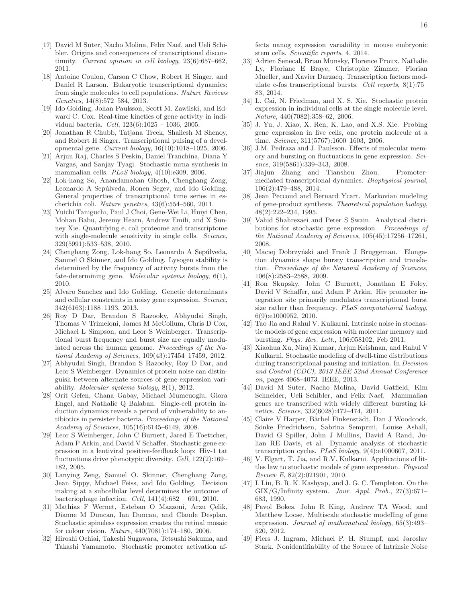- <span id="page-15-0"></span>[17] David M Suter, Nacho Molina, Felix Naef, and Ueli Schibler. Origins and consequences of transcriptional discontinuity. Current opinion in cell biology, 23(6):657–662, 2011.
- [18] Antoine Coulon, Carson C Chow, Robert H Singer, and Daniel R Larson. Eukaryotic transcriptional dynamics: from single molecules to cell populations. Nature Reviews Genetics, 14(8):572–584, 2013.
- <span id="page-15-4"></span>[19] Ido Golding, Johan Paulsson, Scott M. Zawilski, and Edward C. Cox. Real-time kinetics of gene activity in individual bacteria. Cell, 123(6):1025 – 1036, 2005.
- [20] Jonathan R Chubb, Tatjana Trcek, Shailesh M Shenoy, and Robert H Singer. Transcriptional pulsing of a developmental gene. Current biology, 16(10):1018–1025, 2006.
- [21] Arjun Raj, Charles S Peskin, Daniel Tranchina, Diana Y Vargas, and Sanjay Tyagi. Stochastic mrna synthesis in mammalian cells. PLoS biology, 4(10):e309, 2006.
- [22] Lok-hang So, Anandamohan Ghosh, Chenghang Zong, Leonardo A Sepúlveda, Ronen Segev, and Ido Golding. General properties of transcriptional time series in escherichia coli. Nature genetics, 43(6):554–560, 2011.
- [23] Yuichi Taniguchi, Paul J Choi, Gene-Wei Li, Huiyi Chen, Mohan Babu, Jeremy Hearn, Andrew Emili, and X Sunney Xie. Quantifying e. coli proteome and transcriptome with single-molecule sensitivity in single cells. Science, 329(5991):533–538, 2010.
- <span id="page-15-5"></span>[24] Chenghang Zong, Lok-hang So, Leonardo A Sepúlveda, Samuel O Skinner, and Ido Golding. Lysogen stability is determined by the frequency of activity bursts from the fate-determining gene. Molecular systems biology, 6(1), 2010.
- [25] Alvaro Sanchez and Ido Golding. Genetic determinants and cellular constraints in noisy gene expression. Science, 342(6163):1188–1193, 2013.
- <span id="page-15-14"></span>[26] Roy D Dar, Brandon S Razooky, Abhyudai Singh, Thomas V Trimeloni, James M McCollum, Chris D Cox, Michael L Simpson, and Leor S Weinberger. Transcriptional burst frequency and burst size are equally modulated across the human genome. Proceedings of the National Academy of Sciences, 109(43):17454–17459, 2012.
- <span id="page-15-1"></span>[27] Abhyudai Singh, Brandon S Razooky, Roy D Dar, and Leor S Weinberger. Dynamics of protein noise can distinguish between alternate sources of gene-expression variability. Molecular systems biology, 8(1), 2012.
- <span id="page-15-2"></span>[28] Orit Gefen, Chana Gabay, Michael Mumcuoglu, Giora Engel, and Nathalie Q Balaban. Single-cell protein induction dynamics reveals a period of vulnerability to antibiotics in persister bacteria. Proceedings of the National Academy of Sciences, 105(16):6145–6149, 2008.
- [29] Leor S Weinberger, John C Burnett, Jared E Toettcher, Adam P Arkin, and David V Schaffer. Stochastic gene expression in a lentiviral positive-feedback loop: Hiv-1 tat fluctuations drive phenotypic diversity. Cell, 122(2):169– 182, 2005.
- [30] Lanying Zeng, Samuel O. Skinner, Chenghang Zong, Jean Sippy, Michael Feiss, and Ido Golding. Decision making at a subcellular level determines the outcome of bacteriophage infection. *Cell*,  $141(4):682 - 691$ , 2010.
- <span id="page-15-3"></span>[31] Mathias F Wernet, Esteban O Mazzoni, Arzu Çelik, Dianne M Duncan, Ian Duncan, and Claude Desplan. Stochastic spineless expression creates the retinal mosaic for colour vision. Nature, 440(7081):174–180, 2006.
- <span id="page-15-6"></span>[32] Hiroshi Ochiai, Takeshi Sugawara, Tetsushi Sakuma, and Takashi Yamamoto. Stochastic promoter activation af-

fects nanog expression variability in mouse embryonic stem cells. Scientific reports, 4, 2014.

- <span id="page-15-7"></span>[33] Adrien Senecal, Brian Munsky, Florence Proux, Nathalie Ly, Floriane E Braye, Christophe Zimmer, Florian Mueller, and Xavier Darzacq. Transcription factors modulate c-fos transcriptional bursts. Cell reports, 8(1):75– 83, 2014.
- <span id="page-15-8"></span>[34] L. Cai, N. Friedman, and X. S. Xie. Stochastic protein expression in individual cells at the single molecule level. Nature, 440(7082):358–62, 2006.
- <span id="page-15-9"></span>[35] J. Yu, J. Xiao, X. Ren, K. Lao, and X.S. Xie. Probing gene expression in live cells, one protein molecule at a time. Science, 311(5767):1600–1603, 2006.
- <span id="page-15-10"></span>[36] J.M. Pedraza and J. Paulsson. Effects of molecular memory and bursting on fluctuations in gene expression. Science, 319(5861):339–343, 2008.
- <span id="page-15-11"></span>[37] Jiajun Zhang and Tianshou Zhou. Promotermediated transcriptional dynamics. Biophysical journal, 106(2):479–488, 2014.
- <span id="page-15-12"></span>[38] Jean Peccoud and Bernard Ycart. Markovian modeling of gene-product synthesis. Theoretical population biology, 48(2):222–234, 1995.
- <span id="page-15-22"></span>[39] Vahid Shahrezaei and Peter S Swain. Analytical distributions for stochastic gene expression. Proceedings of the National Academy of Sciences, 105(45):17256–17261, 2008.
- <span id="page-15-13"></span>[40] Maciej Dobrzyński and Frank J Bruggeman. Elongation dynamics shape bursty transcription and translation. Proceedings of the National Academy of Sciences, 106(8):2583–2588, 2009.
- <span id="page-15-15"></span>[41] Ron Skupsky, John C Burnett, Jonathan E Foley, David V Schaffer, and Adam P Arkin. Hiv promoter integration site primarily modulates transcriptional burst size rather than frequency. PLoS computational biology, 6(9):e1000952, 2010.
- <span id="page-15-16"></span>[42] Tao Jia and Rahul V. Kulkarni. Intrinsic noise in stochastic models of gene expression with molecular memory and bursting. Phys. Rev. Lett., 106:058102, Feb 2011.
- <span id="page-15-17"></span>[43] Xiaohua Xu, Niraj Kumar, Arjun Krishnan, and Rahul V Kulkarni. Stochastic modeling of dwell-time distributions during transcriptional pausing and initiation. In Decision and Control (CDC), 2013 IEEE 52nd Annual Conference on, pages 4068–4073. IEEE, 2013.
- <span id="page-15-18"></span>[44] David M Suter, Nacho Molina, David Gatfield, Kim Schneider, Ueli Schibler, and Felix Naef. Mammalian genes are transcribed with widely different bursting kinetics. Science, 332(6028):472–474, 2011.
- <span id="page-15-19"></span>[45] Claire V Harper, Bärbel Finkenstädt, Dan J Woodcock, Sönke Friedrichsen, Sabrina Semprini, Louise Ashall, David G Spiller, John J Mullins, David A Rand, Julian RE Davis, et al. Dynamic analysis of stochastic transcription cycles. PLoS biology, 9(4):e1000607, 2011.
- <span id="page-15-20"></span>[46] V. Elgart, T. Jia, and R.V. Kulkarni. Applications of littles law to stochastic models of gene expression. Physical Review E, 82(2):021901, 2010.
- <span id="page-15-21"></span>[47] L Liu, B. R. K. Kashyap, and J. G. C. Templeton. On the GIX/G/Infinity system. Jour. Appl. Prob., 27(3):671– 683, 1990.
- <span id="page-15-23"></span>[48] Pavol Bokes, John R King, Andrew TA Wood, and Matthew Loose. Multiscale stochastic modelling of gene expression. Journal of mathematical biology, 65(3):493– 520, 2012.
- <span id="page-15-24"></span>[49] Piers J. Ingram, Michael P. H. Stumpf, and Jaroslav Stark. Nonidentifiability of the Source of Intrinsic Noise